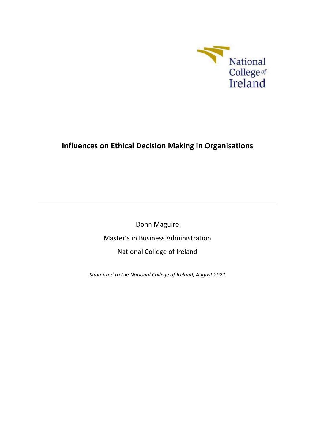

# **Influences on Ethical Decision Making in Organisations**

Donn Maguire Master's in Business Administration National College of Ireland

*Submitted to the National College of Ireland, August 2021*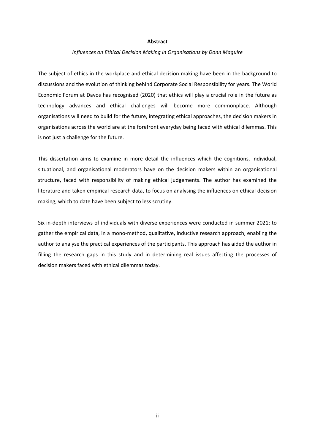#### **Abstract**

#### *Influences on Ethical Decision Making in Organisations by Donn Maguire*

The subject of ethics in the workplace and ethical decision making have been in the background to discussions and the evolution of thinking behind Corporate Social Responsibility for years. The World Economic Forum at Davos has recognised (2020) that ethics will play a crucial role in the future as technology advances and ethical challenges will become more commonplace. Although organisations will need to build for the future, integrating ethical approaches, the decision makers in organisations across the world are at the forefront everyday being faced with ethical dilemmas. This is not just a challenge for the future.

This dissertation aims to examine in more detail the influences which the cognitions, individual, situational, and organisational moderators have on the decision makers within an organisational structure, faced with responsibility of making ethical judgements. The author has examined the literature and taken empirical research data, to focus on analysing the influences on ethical decision making, which to date have been subject to less scrutiny.

Six in-depth interviews of individuals with diverse experiences were conducted in summer 2021; to gather the empirical data, in a mono-method, qualitative, inductive research approach, enabling the author to analyse the practical experiences of the participants. This approach has aided the author in filling the research gaps in this study and in determining real issues affecting the processes of decision makers faced with ethical dilemmas today.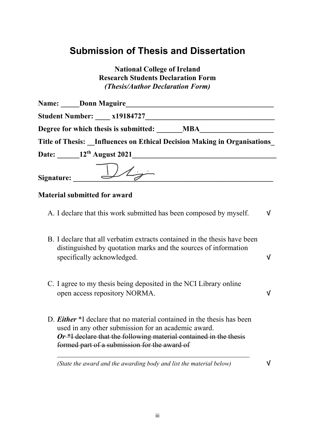# **Submission of Thesis and Dissertation**

**National College of Ireland Research Students Declaration Form** *(Thesis/Author Declaration Form)*

| <b>Name:</b> Donn Maguire                                               |  |
|-------------------------------------------------------------------------|--|
| <b>Student Number:</b> x19184727                                        |  |
| Degree for which thesis is submitted: MBA                               |  |
| Title of Thesis: Influences on Ethical Decision Making in Organisations |  |
| Date: 12 <sup>th</sup> August 2021                                      |  |
| Signature: $\bigcup$                                                    |  |

# **Material submitted for award**

- A. I declare that this work submitted has been composed by myself.  $\vee$
- B. I declare that all verbatim extracts contained in the thesis have been distinguished by quotation marks and the sources of information specifically acknowledged.  $\sqrt{}$
- C. I agree to my thesis being deposited in the NCI Library online open access repository NORMA. √
- D. *Either* \*I declare that no material contained in the thesis has been used in any other submission for an academic award. *Or* \*I declare that the following material contained in the thesis formed part of a submission for the award of

*\_\_\_\_\_\_\_\_\_\_\_\_\_\_\_\_\_\_\_\_\_\_\_\_\_\_\_\_\_\_\_\_\_\_\_\_\_\_\_\_\_\_\_\_\_\_\_\_\_\_\_\_*

*(State the award and the awarding body and list the material below)*  $\mathsf{V}$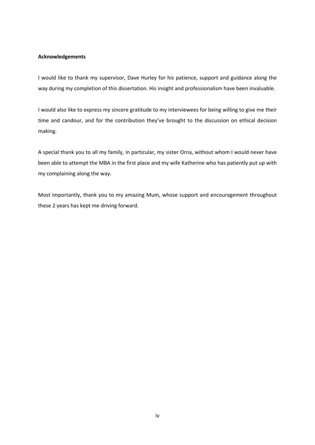## **Acknowledgements**

I would like to thank my supervisor, Dave Hurley for his patience, support and guidance along the way during my completion of this dissertation. His insight and professionalism have been invaluable.

I would also like to express my sincere gratitude to my interviewees for being willing to give me their time and candour, and for the contribution they've brought to the discussion on ethical decision making.

A special thank you to all my family, in particular, my sister Orna, without whom I would never have been able to attempt the MBA in the first place and my wife Katherine who has patiently put up with my complaining along the way.

Most importantly, thank you to my amazing Mum, whose support and encouragement throughout these 2 years has kept me driving forward.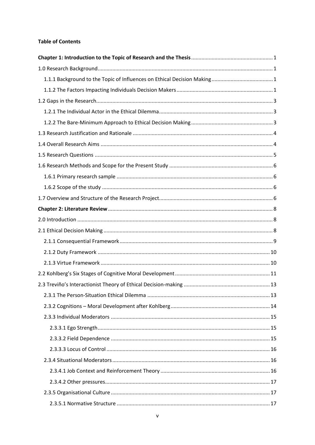# **Table of Contents**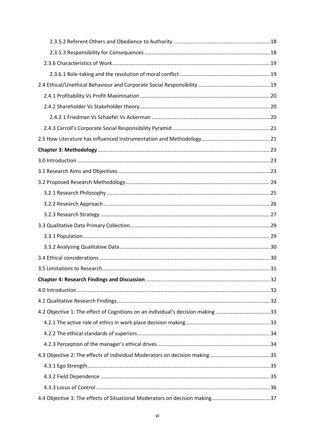| 4.2 Objective 1: The effect of Cognitions on an individual's decision making 33 |  |
|---------------------------------------------------------------------------------|--|
|                                                                                 |  |
|                                                                                 |  |
|                                                                                 |  |
|                                                                                 |  |
|                                                                                 |  |
|                                                                                 |  |
|                                                                                 |  |
|                                                                                 |  |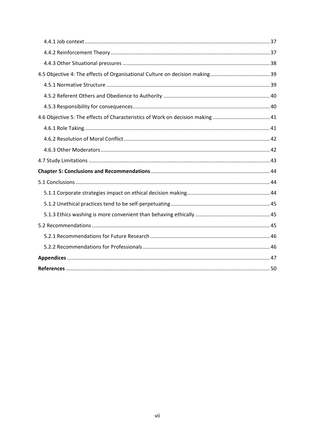<span id="page-6-0"></span>

| 41.6 Objective 5: The effects of Characteristics of Work on decision making  41 |  |
|---------------------------------------------------------------------------------|--|
|                                                                                 |  |
|                                                                                 |  |
|                                                                                 |  |
|                                                                                 |  |
|                                                                                 |  |
|                                                                                 |  |
|                                                                                 |  |
|                                                                                 |  |
|                                                                                 |  |
|                                                                                 |  |
|                                                                                 |  |
|                                                                                 |  |
|                                                                                 |  |
|                                                                                 |  |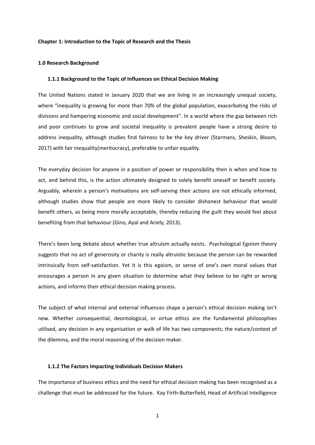#### **Chapter 1: Introduction to the Topic of Research and the Thesis**

## <span id="page-7-0"></span>**1.0 Research Background**

#### <span id="page-7-1"></span>**1.1.1 Background to the Topic of Influences on Ethical Decision Making**

The United Nations stated in January 2020 that we are living in an increasingly unequal society, where "inequality is growing for more than 70% of the global population, exacerbating the risks of divisions and hampering economic and social development". In a world where the gap between rich and poor continues to grow and societal inequality is prevalent people have a strong desire to address inequality, although studies find fairness to be the key driver (Starmans, Sheskin, Bloom, 2017) with fair inequality(meritocracy), preferable to unfair equality.

The everyday decision for anyone in a position of power or responsibility then is when and how to act, and behind this, is the action ultimately designed to solely benefit oneself or benefit society. Arguably, wherein a person's motivations are self-serving their actions are not ethically informed, although studies show that people are more likely to consider dishonest behaviour that would benefit others, as being more morally acceptable, thereby reducing the guilt they would feel about benefiting from that behaviour (Gino, Ayal and Ariely, 2013).

There's been long debate about whether true altruism actually exists. Psychological Egoism theory suggests that no act of generosity or charity is really altruistic because the person can be rewarded intrinsically from self-satisfaction. Yet it is this egoism, or sense of one's own moral values that encourages a person in any given situation to determine what they believe to be right or wrong actions, and informs their ethical decision making process.

The subject of what internal and external influences shape a person's ethical decision making isn't new. Whether consequential, deontological, or virtue ethics are the fundamental philosophies utilised, any decision in any organisation or walk of life has two components; the nature/context of the dilemma, and the moral reasoning of the decision maker.

## <span id="page-7-2"></span>**1.1.2 The Factors Impacting Individuals Decision Makers**

The importance of business ethics and the need for ethical decision making has been recognised as a challenge that must be addressed for the future. Kay Firth-Butterfield, Head of Artificial Intelligence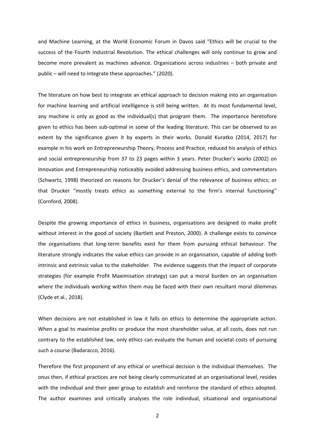and Machine Learning, at the World Economic Forum in Davos said "Ethics will be crucial to the success of the Fourth Industrial Revolution. The ethical challenges will only continue to grow and become more prevalent as machines advance. Organizations across industries – both private and public – will need to integrate these approaches." (2020).

The literature on how best to integrate an ethical approach to decision making into an organisation for machine learning and artificial intelligence is still being written. At its most fundamental level, any machine is only as good as the individual(s) that program them. The importance heretofore given to ethics has been sub-optimal in some of the leading literature. This can be observed to an extent by the significance given it by experts in their works. Donald Kuratko (2014, 2017) for example in his work on Entrepreneurship Theory, Process and Practice, reduced his analysis of ethics and social entrepreneurship from 37 to 23 pages within 3 years. Peter Drucker's works (2002) on Innovation and Entrepreneurship noticeably avoided addressing business ethics, and commentators (Schwartz, 1998) theorized on reasons for Drucker's denial of the relevance of business ethics; or that Drucker "mostly treats ethics as something external to the firm's internal functioning" (Cornford, 2008).

Despite the growing importance of ethics in business, organisations are designed to make profit without interest in the good of society (Bartlett and Preston, 2000). A challenge exists to convince the organisations that long-term benefits exist for them from pursuing ethical behaviour. The literature strongly indicates the value ethics can provide in an organisation, capable of adding both intrinsic and extrinsic value to the stakeholder. The evidence suggests that the impact of corporate strategies (for example Profit Maximisation strategy) can put a moral burden on an organisation where the individuals working within them may be faced with their own resultant moral dilemmas (Clyde et al., 2018).

When decisions are not established in law it falls on ethics to determine the appropriate action. When a goal to maximise profits or produce the most shareholder value, at all costs, does not run contrary to the established law, only ethics can evaluate the human and societal costs of pursuing such a course (Badaracco, 2016).

Therefore the first proponent of any ethical or unethical decision is the individual themselves. The onus then, if ethical practices are not being clearly communicated at an organisational level, resides with the individual and their peer group to establish and reinforce the standard of ethics adopted. The author examines and critically analyses the role individual, situational and organisational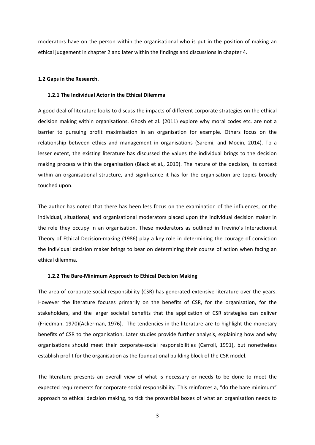moderators have on the person within the organisational who is put in the position of making an ethical judgement in chapter 2 and later within the findings and discussions in chapter 4.

## <span id="page-9-0"></span>**1.2 Gaps in the Research.**

#### <span id="page-9-1"></span>**1.2.1 The Individual Actor in the Ethical Dilemma**

A good deal of literature looks to discuss the impacts of different corporate strategies on the ethical decision making within organisations. Ghosh et al. (2011) explore why moral codes etc. are not a barrier to pursuing profit maximisation in an organisation for example. Others focus on the relationship between ethics and management in organisations (Saremi, and Moein, 2014). To a lesser extent, the existing literature has discussed the values the individual brings to the decision making process within the organisation (Black et al., 2019). The nature of the decision, its context within an organisational structure, and significance it has for the organisation are topics broadly touched upon.

The author has noted that there has been less focus on the examination of the influences, or the individual, situational, and organisational moderators placed upon the individual decision maker in the role they occupy in an organisation. These moderators as outlined in Treviño's Interactionist Theory of Ethical Decision-making (1986) play a key role in determining the courage of conviction the individual decision maker brings to bear on determining their course of action when facing an ethical dilemma.

## <span id="page-9-2"></span>**1.2.2 The Bare-Minimum Approach to Ethical Decision Making**

The area of corporate-social responsibility (CSR) has generated extensive literature over the years. However the literature focuses primarily on the benefits of CSR, for the organisation, for the stakeholders, and the larger societal benefits that the application of CSR strategies can deliver (Friedman, 1970)(Ackerman, 1976). The tendencies in the literature are to highlight the monetary benefits of CSR to the organisation. Later studies provide further analysis, explaining how and why organisations should meet their corporate-social responsibilities (Carroll, 1991), but nonetheless establish profit for the organisation as the foundational building block of the CSR model.

The literature presents an overall view of what is necessary or needs to be done to meet the expected requirements for corporate social responsibility. This reinforces a, "do the bare minimum" approach to ethical decision making, to tick the proverbial boxes of what an organisation needs to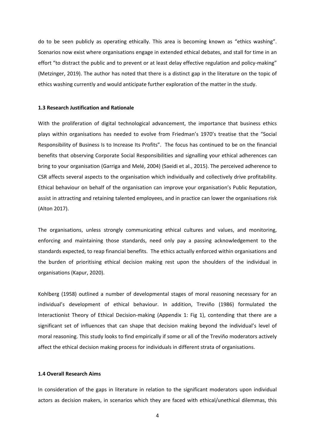do to be seen publicly as operating ethically. This area is becoming known as "ethics washing". Scenarios now exist where organisations engage in extended ethical debates, and stall for time in an effort "to distract the public and to prevent or at least delay effective regulation and policy-making" (Metzinger, 2019). The author has noted that there is a distinct gap in the literature on the topic of ethics washing currently and would anticipate further exploration of the matter in the study.

## <span id="page-10-0"></span>**1.3 Research Justification and Rationale**

With the proliferation of digital technological advancement, the importance that business ethics plays within organisations has needed to evolve from Friedman's 1970's treatise that the "Social Responsibility of Business Is to Increase Its Profits". The focus has continued to be on the financial benefits that observing Corporate Social Responsibilities and signalling your ethical adherences can bring to your organisation (Garriga and Melé, 2004) (Saeidi et al., 2015). The perceived adherence to CSR affects several aspects to the organisation which individually and collectively drive profitability. Ethical behaviour on behalf of the organisation can improve your organisation's Public Reputation, assist in attracting and retaining talented employees, and in practice can lower the organisations risk (Alton 2017).

The organisations, unless strongly communicating ethical cultures and values, and monitoring, enforcing and maintaining those standards, need only pay a passing acknowledgement to the standards expected, to reap financial benefits. The ethics actually enforced within organisations and the burden of prioritising ethical decision making rest upon the shoulders of the individual in organisations (Kapur, 2020).

Kohlberg (1958) outlined a number of developmental stages of moral reasoning necessary for an individual's development of ethical behaviour. In addition, Treviño (1986) formulated the Interactionist Theory of Ethical Decision-making (Appendix 1: Fig 1), contending that there are a significant set of influences that can shape that decision making beyond the individual's level of moral reasoning. This study looks to find empirically if some or all of the Treviño moderators actively affect the ethical decision making process for individuals in different strata of organisations.

## <span id="page-10-1"></span>**1.4 Overall Research Aims**

In consideration of the gaps in literature in relation to the significant moderators upon individual actors as decision makers, in scenarios which they are faced with ethical/unethical dilemmas, this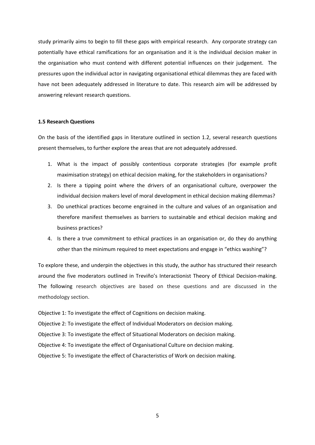study primarily aims to begin to fill these gaps with empirical research. Any corporate strategy can potentially have ethical ramifications for an organisation and it is the individual decision maker in the organisation who must contend with different potential influences on their judgement. The pressures upon the individual actor in navigating organisational ethical dilemmas they are faced with have not been adequately addressed in literature to date. This research aim will be addressed by answering relevant research questions.

### <span id="page-11-0"></span>**1.5 Research Questions**

On the basis of the identified gaps in literature outlined in section 1.2, several research questions present themselves, to further explore the areas that are not adequately addressed.

- 1. What is the impact of possibly contentious corporate strategies (for example profit maximisation strategy) on ethical decision making, for the stakeholders in organisations?
- 2. Is there a tipping point where the drivers of an organisational culture, overpower the individual decision makers level of moral development in ethical decision making dilemmas?
- 3. Do unethical practices become engrained in the culture and values of an organisation and therefore manifest themselves as barriers to sustainable and ethical decision making and business practices?
- 4. Is there a true commitment to ethical practices in an organisation or, do they do anything other than the minimum required to meet expectations and engage in "ethics washing"?

To explore these, and underpin the objectives in this study, the author has structured their research around the five moderators outlined in Treviño's Interactionist Theory of Ethical Decision-making. The following research objectives are based on these questions and are discussed in the methodology section.

Objective 1: To investigate the effect of Cognitions on decision making. Objective 2: To investigate the effect of Individual Moderators on decision making. Objective 3: To investigate the effect of Situational Moderators on decision making. Objective 4: To investigate the effect of Organisational Culture on decision making. Objective 5: To investigate the effect of Characteristics of Work on decision making.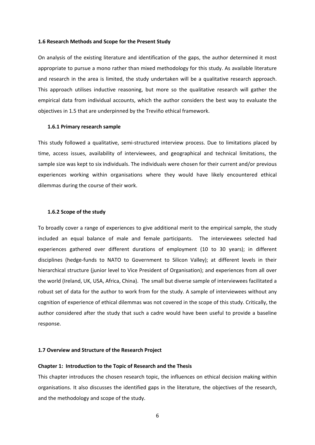## <span id="page-12-0"></span>**1.6 Research Methods and Scope for the Present Study**

On analysis of the existing literature and identification of the gaps, the author determined it most appropriate to pursue a mono rather than mixed methodology for this study. As available literature and research in the area is limited, the study undertaken will be a qualitative research approach. This approach utilises inductive reasoning, but more so the qualitative research will gather the empirical data from individual accounts, which the author considers the best way to evaluate the objectives in 1.5 that are underpinned by the Treviño ethical framework.

#### <span id="page-12-1"></span>**1.6.1 Primary research sample**

This study followed a qualitative, semi-structured interview process. Due to limitations placed by time, access issues, availability of interviewees, and geographical and technical limitations, the sample size was kept to six individuals. The individuals were chosen for their current and/or previous experiences working within organisations where they would have likely encountered ethical dilemmas during the course of their work.

## <span id="page-12-2"></span>**1.6.2 Scope of the study**

To broadly cover a range of experiences to give additional merit to the empirical sample, the study included an equal balance of male and female participants. The interviewees selected had experiences gathered over different durations of employment (10 to 30 years); in different disciplines (hedge-funds to NATO to Government to Silicon Valley); at different levels in their hierarchical structure (junior level to Vice President of Organisation); and experiences from all over the world (Ireland, UK, USA, Africa, China). The small but diverse sample of interviewees facilitated a robust set of data for the author to work from for the study. A sample of interviewees without any cognition of experience of ethical dilemmas was not covered in the scope of this study. Critically, the author considered after the study that such a cadre would have been useful to provide a baseline response.

## <span id="page-12-3"></span>**1.7 Overview and Structure of the Research Project**

#### **Chapter 1: Introduction to the Topic of Research and the Thesis**

This chapter introduces the chosen research topic, the influences on ethical decision making within organisations. It also discusses the identified gaps in the literature, the objectives of the research, and the methodology and scope of the study.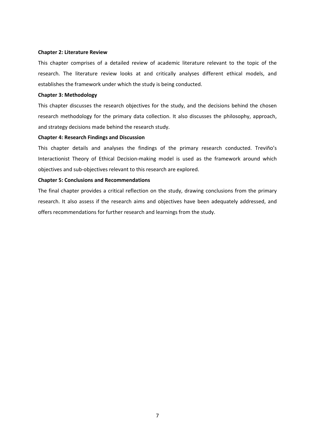## **Chapter 2: Literature Review**

This chapter comprises of a detailed review of academic literature relevant to the topic of the research. The literature review looks at and critically analyses different ethical models, and establishes the framework under which the study is being conducted.

## **Chapter 3: Methodology**

This chapter discusses the research objectives for the study, and the decisions behind the chosen research methodology for the primary data collection. It also discusses the philosophy, approach, and strategy decisions made behind the research study.

## **Chapter 4: Research Findings and Discussion**

This chapter details and analyses the findings of the primary research conducted. Treviño's Interactionist Theory of Ethical Decision-making model is used as the framework around which objectives and sub-objectives relevant to this research are explored.

## **Chapter 5: Conclusions and Recommendations**

The final chapter provides a critical reflection on the study, drawing conclusions from the primary research. It also assess if the research aims and objectives have been adequately addressed, and offers recommendations for further research and learnings from the study.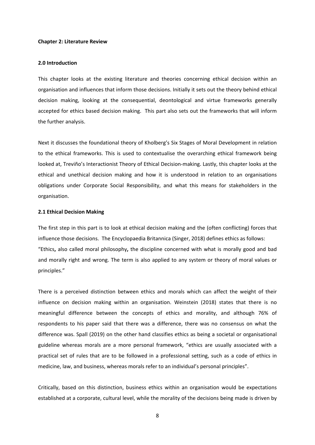#### <span id="page-14-0"></span>**Chapter 2: Literature Review**

#### <span id="page-14-1"></span>**2.0 Introduction**

This chapter looks at the existing literature and theories concerning ethical decision within an organisation and influences that inform those decisions. Initially it sets out the theory behind ethical decision making, looking at the consequential, deontological and virtue frameworks generally accepted for ethics based decision making. This part also sets out the frameworks that will inform the further analysis.

Next it discusses the foundational theory of Kholberg's Six Stages of Moral Development in relation to the ethical frameworks. This is used to contextualise the overarching ethical framework being looked at, Treviño's Interactionist Theory of Ethical Decision-making. Lastly, this chapter looks at the ethical and unethical decision making and how it is understood in relation to an organisations obligations under Corporate Social Responsibility, and what this means for stakeholders in the organisation.

## <span id="page-14-2"></span>**2.1 Ethical Decision Making**

The first step in this part is to look at ethical decision making and the (often conflicting) forces that influence those decisions. The Encyclopaedia Britannica (Singer, 2018) defines ethics as follows: "Ethics**,** also called moral philosophy**,** the discipline concerned with what is morally good and bad and morally right and wrong. The term is also applied to any system or theory of moral values or principles."

There is a perceived distinction between ethics and morals which can affect the weight of their influence on decision making within an organisation. Weinstein (2018) states that there is no meaningful difference between the concepts of ethics and morality, and although 76% of respondents to his paper said that there was a difference, there was no consensus on what the difference was. Spall (2019) on the other hand classifies ethics as being a societal or organisational guideline whereas morals are a more personal framework, "ethics are usually associated with a practical set of rules that are to be followed in a professional setting, such as a code of ethics in medicine, law, and business, whereas morals refer to an individual's personal principles".

Critically, based on this distinction, business ethics within an organisation would be expectations established at a corporate, cultural level, while the morality of the decisions being made is driven by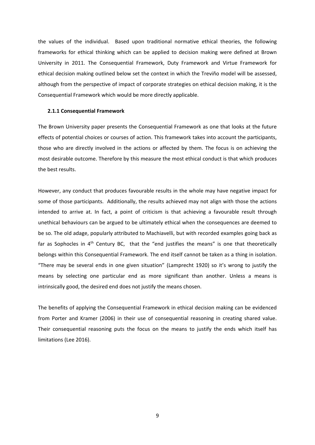the values of the individual. Based upon traditional normative ethical theories, the following frameworks for ethical thinking which can be applied to decision making were defined at Brown University in 2011. The Consequential Framework, Duty Framework and Virtue Framework for ethical decision making outlined below set the context in which the Treviño model will be assessed, although from the perspective of impact of corporate strategies on ethical decision making, it is the Consequential Framework which would be more directly applicable.

#### <span id="page-15-0"></span>**2.1.1 Consequential Framework**

The Brown University paper presents the Consequential Framework as one that looks at the future effects of potential choices or courses of action. This framework takes into account the participants, those who are directly involved in the actions or affected by them. The focus is on achieving the most desirable outcome. Therefore by this measure the most ethical conduct is that which produces the best results.

However, any conduct that produces favourable results in the whole may have negative impact for some of those participants. Additionally, the results achieved may not align with those the actions intended to arrive at. In fact, a point of criticism is that achieving a favourable result through unethical behaviours can be argued to be ultimately ethical when the consequences are deemed to be so. The old adage, popularly attributed to Machiavelli, but with recorded examples going back as far as Sophocles in  $4<sup>th</sup>$  Century BC, that the "end justifies the means" is one that theoretically belongs within this Consequential Framework. The end itself cannot be taken as a thing in isolation. "There may be several ends in one given situation" (Lamprecht 1920) so it's wrong to justify the means by selecting one particular end as more significant than another. Unless a means is intrinsically good, the desired end does not justify the means chosen.

The benefits of applying the Consequential Framework in ethical decision making can be evidenced from Porter and Kramer (2006) in their use of consequential reasoning in creating shared value. Their consequential reasoning puts the focus on the means to justify the ends which itself has limitations (Lee 2016).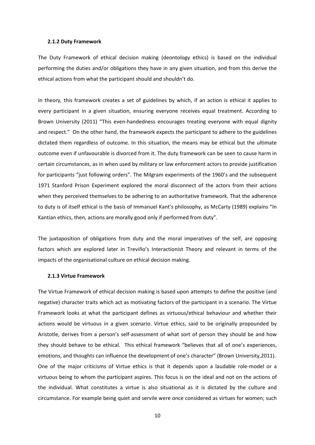#### <span id="page-16-0"></span>**2.1.2 Duty Framework**

The Duty Framework of ethical decision making (deontology ethics) is based on the individual performing the duties and/or obligations they have in any given situation, and from this derive the ethical actions from what the participant should and shouldn't do.

In theory, this framework creates a set of guidelines by which, if an action is ethical it applies to every participant in a given situation, ensuring everyone receives equal treatment. According to Brown University (2011) "This even-handedness encourages treating everyone with equal dignity and respect." On the other hand, the framework expects the participant to adhere to the guidelines dictated them regardless of outcome. In this situation, the means may be ethical but the ultimate outcome even if unfavourable is divorced from it. The duty framework can be seen to cause harm in certain circumstances, as in when used by military or law enforcement actors to provide justification for participants "just following orders". The Milgram experiments of the 1960's and the subsequent 1971 Stanford Prison Experiment explored the moral disconnect of the actors from their actions when they perceived themselves to be adhering to an authoritative framework. That the adherence to duty is of itself ethical is the basis of Immanuel Kant's philosophy, as McCarty (1989) explains "In Kantian ethics, then, actions are morally good only if performed from duty".

The juxtaposition of obligations from duty and the moral imperatives of the self, are opposing factors which are explored later in Treviño's Interactionist Theory and relevant in terms of the impacts of the organisational culture on ethical decision making.

## <span id="page-16-1"></span>**2.1.3 Virtue Framework**

The Virtue Framework of ethical decision making is based upon attempts to define the positive (and negative) character traits which act as motivating factors of the participant in a scenario. The Virtue Framework looks at what the participant defines as virtuous/ethical behaviour and whether their actions would be virtuous in a given scenario. Virtue ethics, said to be originally propounded by Aristotle, derives from a person's self-assessment of what sort of person they should be and how they should behave to be ethical. This ethical framework "believes that all of one's experiences, emotions, and thoughts can influence the development of one's character" (Brown University,2011). One of the major criticisms of Virtue ethics is that it depends upon a laudable role-model or a virtuous being to whom the participant aspires. This focus is on the ideal and not on the actions of the individual. What constitutes a virtue is also situational as it is dictated by the culture and circumstance. For example being quiet and servile were once considered as virtues for women; such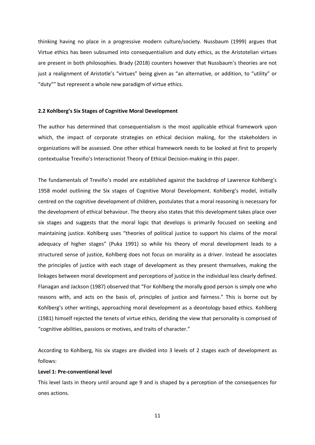thinking having no place in a progressive modern culture/society. Nussbaum (1999) argues that Virtue ethics has been subsumed into consequentialism and duty ethics, as the Aristotelian virtues are present in both philosophies. Brady (2018) counters however that Nussbaum's theories are not just a realignment of Aristotle's "virtues" being given as "an alternative, or addition, to "utility" or "duty"" but represent a whole new paradigm of virtue ethics.

#### <span id="page-17-0"></span>**2.2 Kohlberg's Six Stages of Cognitive Moral Development**

The author has determined that consequentialism is the most applicable ethical framework upon which, the impact of corporate strategies on ethical decision making, for the stakeholders in organizations will be assessed. One other ethical framework needs to be looked at first to properly contextualise Treviño's Interactionist Theory of Ethical Decision-making in this paper.

The fundamentals of Treviño's model are established against the backdrop of Lawrence Kohlberg's 1958 model outlining the Six stages of Cognitive Moral Development. Kohlberg's model, initially centred on the cognitive development of children, postulates that a moral reasoning is necessary for the development of ethical behaviour. The theory also states that this development takes place over six stages and suggests that the moral logic that develops is primarily focused on seeking and maintaining justice. Kohlberg uses "theories of political justice to support his claims of the moral adequacy of higher stages" (Puka 1991) so while his theory of moral development leads to a structured sense of justice, Kohlberg does not focus on morality as a driver. Instead he associates the principles of justice with each stage of development as they present themselves, making the linkages between moral development and perceptions of justice in the individual less clearly defined. Flanagan and Jackson (1987) observed that "For Kohlberg the morally good person is simply one who reasons with, and acts on the basis of, principles of justice and fairness." This is borne out by Kohlberg's other writings, approaching moral development as a deontology based ethics. Kohlberg (1981) himself rejected the tenets of virtue ethics, deriding the view that personality is comprised of "cognitive abilities, passions or motives, and traits of character."

According to Kohlberg, his six stages are divided into 3 levels of 2 stages each of development as follows:

## **Level 1: Pre-conventional level**

This level lasts in theory until around age 9 and is shaped by a perception of the consequences for ones actions.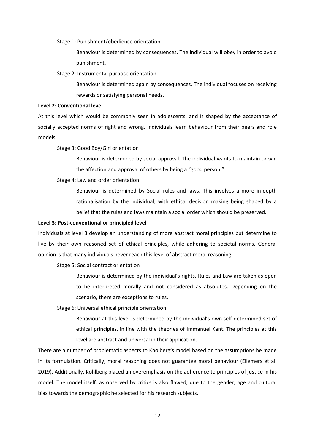Stage 1: Punishment/obedience orientation

Behaviour is determined by consequences. The individual will obey in order to avoid punishment.

Stage 2: Instrumental purpose orientation

Behaviour is determined again by consequences. The individual focuses on receiving rewards or satisfying personal needs.

## **Level 2: Conventional level**

At this level which would be commonly seen in adolescents, and is shaped by the acceptance of socially accepted norms of right and wrong. Individuals learn behaviour from their peers and role models.

Stage 3: Good Boy/Girl orientation

Behaviour is determined by social approval. The individual wants to maintain or win the affection and approval of others by being a "good person."

#### Stage 4: Law and order orientation

Behaviour is determined by Social rules and laws. This involves a more in-depth rationalisation by the individual, with ethical decision making being shaped by a belief that the rules and laws maintain a social order which should be preserved.

## **Level 3: Post-conventional or principled level**

Individuals at level 3 develop an understanding of more abstract moral principles but determine to live by their own reasoned set of ethical principles, while adhering to societal norms. General opinion is that many individuals never reach this level of abstract moral reasoning.

Stage 5: Social contract orientation

Behaviour is determined by the individual's rights. Rules and Law are taken as open to be interpreted morally and not considered as absolutes. Depending on the scenario, there are exceptions to rules.

Stage 6: Universal ethical principle orientation

Behaviour at this level is determined by the individual's own self-determined set of ethical principles, in line with the theories of Immanuel Kant. The principles at this level are abstract and universal in their application.

There are a number of problematic aspects to Kholberg's model based on the assumptions he made in its formulation. Critically, moral reasoning does not guarantee moral behaviour (Ellemers et al. 2019). Additionally, Kohlberg placed an overemphasis on the adherence to principles of justice in his model. The model itself, as observed by critics is also flawed, due to the gender, age and cultural bias towards the demographic he selected for his research subjects.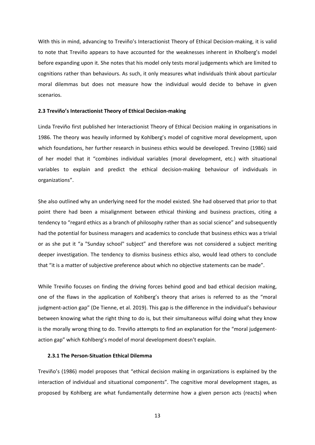With this in mind, advancing to Treviño's Interactionist Theory of Ethical Decision-making, it is valid to note that Treviño appears to have accounted for the weaknesses inherent in Kholberg's model before expanding upon it. She notes that his model only tests moral judgements which are limited to cognitions rather than behaviours. As such, it only measures what individuals think about particular moral dilemmas but does not measure how the individual would decide to behave in given scenarios.

#### <span id="page-19-0"></span>**2.3 Treviño's Interactionist Theory of Ethical Decision-making**

Linda Treviño first published her Interactionist Theory of Ethical Decision making in organisations in 1986. The theory was heavily informed by Kohlberg's model of cognitive moral development, upon which foundations, her further research in business ethics would be developed. Trevino (1986) said of her model that it "combines individual variables (moral development, etc.) with situational variables to explain and predict the ethical decision-making behaviour of individuals in organizations".

She also outlined why an underlying need for the model existed. She had observed that prior to that point there had been a misalignment between ethical thinking and business practices, citing a tendency to "regard ethics as a branch of philosophy rather than as social science" and subsequently had the potential for business managers and academics to conclude that business ethics was a trivial or as she put it "a "Sunday school" subject" and therefore was not considered a subject meriting deeper investigation. The tendency to dismiss business ethics also, would lead others to conclude that "it is a matter of subjective preference about which no objective statements can be made".

While Treviño focuses on finding the driving forces behind good and bad ethical decision making, one of the flaws in the application of Kohlberg's theory that arises is referred to as the "moral judgment-action gap" (De Tienne, et al. 2019). This gap is the difference in the individual's behaviour between knowing what the right thing to do is, but their simultaneous wilful doing what they know is the morally wrong thing to do. Treviño attempts to find an explanation for the "moral judgementaction gap" which Kohlberg's model of moral development doesn't explain.

# <span id="page-19-1"></span>**2.3.1 The Person-Situation Ethical Dilemma**

Treviño's (1986) model proposes that "ethical decision making in organizations is explained by the interaction of individual and situational components". The cognitive moral development stages, as proposed by Kohlberg are what fundamentally determine how a given person acts (reacts) when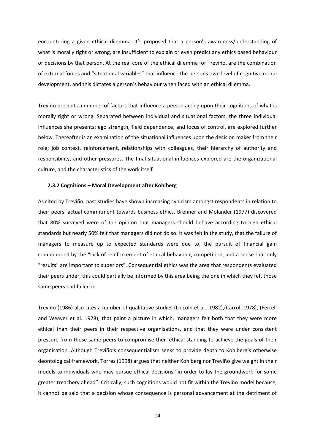encountering a given ethical dilemma. It's proposed that a person's awareness/understanding of what is morally right or wrong, are insufficient to explain or even predict any ethics based behaviour or decisions by that person. At the real core of the ethical dilemma for Treviño, are the combination of external forces and "situational variables" that influence the persons own level of cognitive moral development, and this dictates a person's behaviour when faced with an ethical dilemma.

Treviño presents a number of factors that influence a person acting upon their cognitions of what is morally right or wrong. Separated between individual and situational factors, the three individual influences she presents; ego strength, field dependence, and locus of control, are explored further below. Thereafter is an examination of the situational influences upon the decision maker from their role; job context, reinforcement, relationships with colleagues, their hierarchy of authority and responsibility, and other pressures. The final situational influences explored are the organizational culture, and the characteristics of the work itself.

## <span id="page-20-0"></span>**2.3.2 Cognitions – Moral Development after Kohlberg**

As cited by Treviño, past studies have shown increasing cynicism amongst respondents in relation to their peers' actual commitment towards business ethics. Brenner and Molander (1977) discovered that 80% surveyed were of the opinion that managers should behave according to high ethical standards but nearly 50% felt that managers did not do so. It was felt in the study, that the failure of managers to measure up to expected standards were due to, the pursuit of financial gain compounded by the "lack of reinforcement of ethical behaviour, competition, and a sense that only "results" are important to superiors". Consequential ethics was the area that respondents evaluated their peers under, this could partially be informed by this area being the one in which they felt those same peers had failed in.

Treviño (1986) also cites a number of qualitative studies (Lincoln et al., 1982),(Carroll 1978), (Ferrell and Weaver et al. 1978), that paint a picture in which, managers felt both that they were more ethical than their peers in their respective organisations, and that they were under consistent pressure from those same peers to compromise their ethical standing to achieve the goals of their organisation. Although Treviño's consequentialism seeks to provide depth to Kohlberg's otherwise deontological framework, Torres (1998) argues that neither Kohlberg nor Treviño give weight in their models to individuals who may pursue ethical decisions "in order to lay the groundwork for some greater treachery ahead". Critically, such cognitions would not fit within the Treviño model because, it cannot be said that a decision whose consequence is personal advancement at the detriment of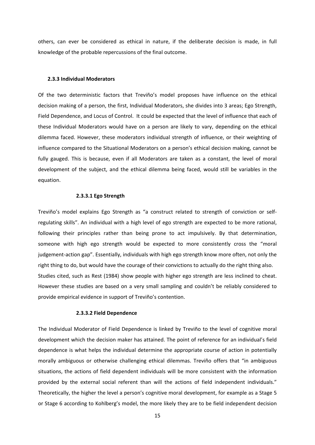others, can ever be considered as ethical in nature, if the deliberate decision is made, in full knowledge of the probable repercussions of the final outcome.

#### <span id="page-21-0"></span>**2.3.3 Individual Moderators**

Of the two deterministic factors that Treviño's model proposes have influence on the ethical decision making of a person, the first, Individual Moderators, she divides into 3 areas; Ego Strength, Field Dependence, and Locus of Control. It could be expected that the level of influence that each of these Individual Moderators would have on a person are likely to vary, depending on the ethical dilemma faced. However, these moderators individual strength of influence, or their weighting of influence compared to the Situational Moderators on a person's ethical decision making, cannot be fully gauged. This is because, even if all Moderators are taken as a constant, the level of moral development of the subject, and the ethical dilemma being faced, would still be variables in the equation.

## **2.3.3.1 Ego Strength**

<span id="page-21-1"></span>Treviño's model explains Ego Strength as "a construct related to strength of conviction or selfregulating skills". An individual with a high level of ego strength are expected to be more rational, following their principles rather than being prone to act impulsively. By that determination, someone with high ego strength would be expected to more consistently cross the "moral judgement-action gap". Essentially, individuals with high ego strength know more often, not only the right thing to do, but would have the courage of their convictions to actually do the right thing also. Studies cited, such as Rest (1984) show people with higher ego strength are less inclined to cheat. However these studies are based on a very small sampling and couldn't be reliably considered to provide empirical evidence in support of Treviño's contention.

## **2.3.3.2 Field Dependence**

<span id="page-21-2"></span>The Individual Moderator of Field Dependence is linked by Treviño to the level of cognitive moral development which the decision maker has attained. The point of reference for an individual's field dependence is what helps the individual determine the appropriate course of action in potentially morally ambiguous or otherwise challenging ethical dilemmas. Treviño offers that "in ambiguous situations, the actions of field dependent individuals will be more consistent with the information provided by the external social referent than will the actions of field independent individuals." Theoretically, the higher the level a person's cognitive moral development, for example as a Stage 5 or Stage 6 according to Kohlberg's model, the more likely they are to be field independent decision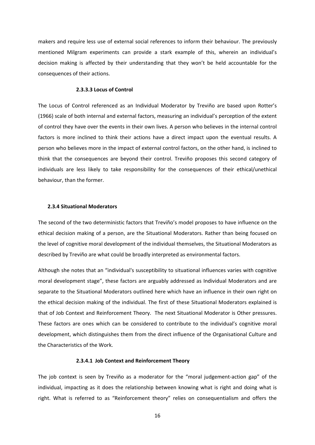makers and require less use of external social references to inform their behaviour. The previously mentioned Milgram experiments can provide a stark example of this, wherein an individual's decision making is affected by their understanding that they won't be held accountable for the consequences of their actions.

## **2.3.3.3 Locus of Control**

<span id="page-22-0"></span>The Locus of Control referenced as an Individual Moderator by Treviño are based upon Rotter's (1966) scale of both internal and external factors, measuring an individual's perception of the extent of control they have over the events in their own lives. A person who believes in the internal control factors is more inclined to think their actions have a direct impact upon the eventual results. A person who believes more in the impact of external control factors, on the other hand, is inclined to think that the consequences are beyond their control. Treviño proposes this second category of individuals are less likely to take responsibility for the consequences of their ethical/unethical behaviour, than the former.

## <span id="page-22-1"></span>**2.3.4 Situational Moderators**

The second of the two deterministic factors that Treviño's model proposes to have influence on the ethical decision making of a person, are the Situational Moderators. Rather than being focused on the level of cognitive moral development of the individual themselves, the Situational Moderators as described by Treviño are what could be broadly interpreted as environmental factors.

Although she notes that an "individual's susceptibility to situational influences varies with cognitive moral development stage", these factors are arguably addressed as Individual Moderators and are separate to the Situational Moderators outlined here which have an influence in their own right on the ethical decision making of the individual. The first of these Situational Moderators explained is that of Job Context and Reinforcement Theory. The next Situational Moderator is Other pressures. These factors are ones which can be considered to contribute to the individual's cognitive moral development, which distinguishes them from the direct influence of the Organisational Culture and the Characteristics of the Work.

## **2.3.4.1 Job Context and Reinforcement Theory**

<span id="page-22-2"></span>The job context is seen by Treviño as a moderator for the "moral judgement-action gap" of the individual, impacting as it does the relationship between knowing what is right and doing what is right. What is referred to as "Reinforcement theory" relies on consequentialism and offers the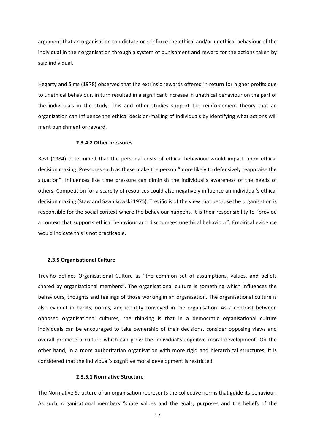argument that an organisation can dictate or reinforce the ethical and/or unethical behaviour of the individual in their organisation through a system of punishment and reward for the actions taken by said individual.

Hegarty and Sims (1978) observed that the extrinsic rewards offered in return for higher profits due to unethical behaviour, in turn resulted in a significant increase in unethical behaviour on the part of the individuals in the study. This and other studies support the reinforcement theory that an organization can influence the ethical decision-making of individuals by identifying what actions will merit punishment or reward.

## **2.3.4.2 Other pressures**

<span id="page-23-0"></span>Rest (1984) determined that the personal costs of ethical behaviour would impact upon ethical decision making. Pressures such as these make the person "more likely to defensively reappraise the situation". Influences like time pressure can diminish the individual's awareness of the needs of others. Competition for a scarcity of resources could also negatively influence an individual's ethical decision making (Staw and Szwajkowski 1975). Treviño is of the view that because the organisation is responsible for the social context where the behaviour happens, it is their responsibility to "provide a context that supports ethical behaviour and discourages unethical behaviour". Empirical evidence would indicate this is not practicable.

## <span id="page-23-1"></span>**2.3.5 Organisational Culture**

Treviño defines Organisational Culture as "the common set of assumptions, values, and beliefs shared by organizational members". The organisational culture is something which influences the behaviours, thoughts and feelings of those working in an organisation. The organisational culture is also evident in habits, norms, and identity conveyed in the organisation. As a contrast between opposed organisational cultures, the thinking is that in a democratic organisational culture individuals can be encouraged to take ownership of their decisions, consider opposing views and overall promote a culture which can grow the individual's cognitive moral development. On the other hand, in a more authoritarian organisation with more rigid and hierarchical structures, it is considered that the individual's cognitive moral development is restricted.

## **2.3.5.1 Normative Structure**

<span id="page-23-2"></span>The Normative Structure of an organisation represents the collective norms that guide its behaviour. As such, organisational members "share values and the goals, purposes and the beliefs of the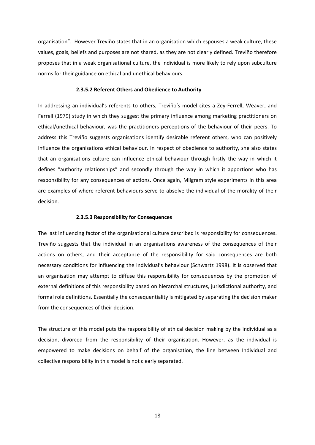organisation". However Treviño states that in an organisation which espouses a weak culture, these values, goals, beliefs and purposes are not shared, as they are not clearly defined. Treviño therefore proposes that in a weak organisational culture, the individual is more likely to rely upon subculture norms for their guidance on ethical and unethical behaviours.

## **2.3.5.2 Referent Others and Obedience to Authority**

<span id="page-24-0"></span>In addressing an individual's referents to others, Treviño's model cites a Zey-Ferrell, Weaver, and Ferrell (1979) study in which they suggest the primary influence among marketing practitioners on ethical/unethical behaviour, was the practitioners perceptions of the behaviour of their peers. To address this Treviño suggests organisations identify desirable referent others, who can positively influence the organisations ethical behaviour. In respect of obedience to authority, she also states that an organisations culture can influence ethical behaviour through firstly the way in which it defines "authority relationships" and secondly through the way in which it apportions who has responsibility for any consequences of actions. Once again, Milgram style experiments in this area are examples of where referent behaviours serve to absolve the individual of the morality of their decision.

#### **2.3.5.3 Responsibility for Consequences**

<span id="page-24-1"></span>The last influencing factor of the organisational culture described is responsibility for consequences. Treviño suggests that the individual in an organisations awareness of the consequences of their actions on others, and their acceptance of the responsibility for said consequences are both necessary conditions for influencing the individual's behaviour (Schwartz 1998). It is observed that an organisation may attempt to diffuse this responsibility for consequences by the promotion of external definitions of this responsibility based on hierarchal structures, jurisdictional authority, and formal role definitions. Essentially the consequentiality is mitigated by separating the decision maker from the consequences of their decision.

The structure of this model puts the responsibility of ethical decision making by the individual as a decision, divorced from the responsibility of their organisation. However, as the individual is empowered to make decisions on behalf of the organisation, the line between Individual and collective responsibility in this model is not clearly separated.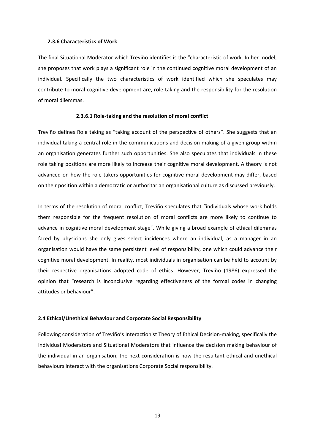#### <span id="page-25-0"></span>**2.3.6 Characteristics of Work**

The final Situational Moderator which Treviño identifies is the "characteristic of work. In her model, she proposes that work plays a significant role in the continued cognitive moral development of an individual. Specifically the two characteristics of work identified which she speculates may contribute to moral cognitive development are, role taking and the responsibility for the resolution of moral dilemmas.

## **2.3.6.1 Role-taking and the resolution of moral conflict**

<span id="page-25-1"></span>Treviño defines Role taking as "taking account of the perspective of others". She suggests that an individual taking a central role in the communications and decision making of a given group within an organisation generates further such opportunities. She also speculates that individuals in these role taking positions are more likely to increase their cognitive moral development. A theory is not advanced on how the role-takers opportunities for cognitive moral development may differ, based on their position within a democratic or authoritarian organisational culture as discussed previously.

In terms of the resolution of moral conflict, Treviño speculates that "individuals whose work holds them responsible for the frequent resolution of moral conflicts are more likely to continue to advance in cognitive moral development stage". While giving a broad example of ethical dilemmas faced by physicians she only gives select incidences where an individual, as a manager in an organisation would have the same persistent level of responsibility, one which could advance their cognitive moral development. In reality, most individuals in organisation can be held to account by their respective organisations adopted code of ethics. However, Treviño (1986) expressed the opinion that "research is inconclusive regarding effectiveness of the formal codes in changing attitudes or behaviour".

#### <span id="page-25-2"></span>**2.4 Ethical/Unethical Behaviour and Corporate Social Responsibility**

Following consideration of Treviño's Interactionist Theory of Ethical Decision-making, specifically the Individual Moderators and Situational Moderators that influence the decision making behaviour of the individual in an organisation; the next consideration is how the resultant ethical and unethical behaviours interact with the organisations Corporate Social responsibility.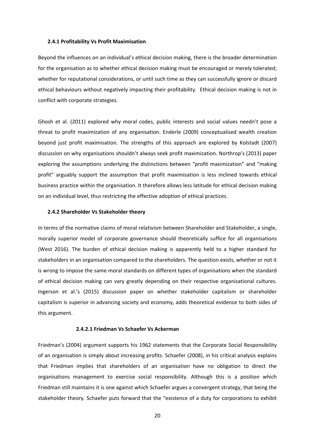#### <span id="page-26-0"></span>**2.4.1 Profitability Vs Profit Maximisation**

Beyond the influences on an individual's ethical decision making, there is the broader determination for the organisation as to whether ethical decision making must be encouraged or merely tolerated; whether for reputational considerations, or until such time as they can successfully ignore or discard ethical behaviours without negatively impacting their profitability. Ethical decision making is not in conflict with corporate strategies.

Ghosh et al. (2011) explored why moral codes, public interests and social values needn't pose a threat to profit maximization of any organisation. Enderle (2009) conceptualised wealth creation beyond just profit maximisation. The strengths of this approach are explored by Kolstadt (2007) discussion on why organisations shouldn't always seek profit maximization. Northrop's (2013) paper exploring the assumptions underlying the distinctions between "profit maximization" and "making profit" arguably support the assumption that profit maximisation is less inclined towards ethical business practice within the organisation. It therefore allows less latitude for ethical decision making on an individual level, thus restricting the effective adoption of ethical practices.

#### <span id="page-26-1"></span>**2.4.2 Shareholder Vs Stakeholder theory**

In terms of the normative claims of moral relativism between Shareholder and Stakeholder, a single, morally superior model of corporate governance should theoretically suffice for all organisations (West 2016). The burden of ethical decision making is apparently held to a higher standard for stakeholders in an organisation compared to the shareholders. The question exists, whether or not it is wrong to impose the same moral standards on different types of organisations when the standard of ethical decision making can vary greatly depending on their respective organisational cultures. Ingerson et al.'s (2015) discussion paper on whether stakeholder capitalism or shareholder capitalism is superior in advancing society and economy, adds theoretical evidence to both sides of this argument.

#### **2.4.2.1 Friedman Vs Schaefer Vs Ackerman**

<span id="page-26-2"></span>Friedman's (2004) argument supports his 1962 statements that the Corporate Social Responsibility of an organisation is simply about increasing profits. Schaefer (2008), in his critical analysis explains that Friedman implies that shareholders of an organisation have no obligation to direct the organisations management to exercise social responsibility. Although this is a position which Friedman still maintains it is one against which Schaefer argues a convergent strategy, that being the stakeholder theory. Schaefer puts forward that the "existence of a duty for corporations to exhibit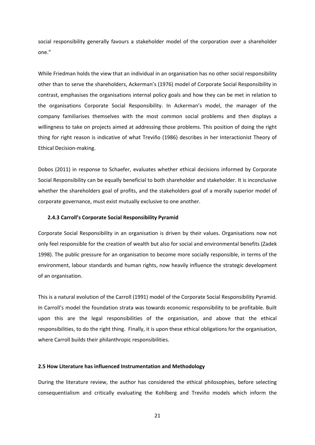social responsibility generally favours a stakeholder model of the corporation over a shareholder one."

While Friedman holds the view that an individual in an organisation has no other social responsibility other than to serve the shareholders, Ackerman's (1976) model of Corporate Social Responsibility in contrast, emphasises the organisations internal policy goals and how they can be met in relation to the organisations Corporate Social Responsibility. In Ackerman's model, the manager of the company familiarises themselves with the most common social problems and then displays a willingness to take on projects aimed at addressing those problems. This position of doing the right thing for right reason is indicative of what Treviño (1986) describes in her Interactionist Theory of Ethical Decision-making.

Dobos (2011) in response to Schaefer, evaluates whether ethical decisions informed by Corporate Social Responsibility can be equally beneficial to both shareholder and stakeholder. It is inconclusive whether the shareholders goal of profits, and the stakeholders goal of a morally superior model of corporate governance, must exist mutually exclusive to one another.

## <span id="page-27-0"></span>**2.4.3 Carroll's Corporate Social Responsibility Pyramid**

Corporate Social Responsibility in an organisation is driven by their values. Organisations now not only feel responsible for the creation of wealth but also for social and environmental benefits (Zadek 1998). The public pressure for an organisation to become more socially responsible, in terms of the environment, labour standards and human rights, now heavily influence the strategic development of an organisation.

This is a natural evolution of the Carroll (1991) model of the Corporate Social Responsibility Pyramid. In Carroll's model the foundation strata was towards economic responsibility to be profitable. Built upon this are the legal responsibilities of the organisation, and above that the ethical responsibilities, to do the right thing. Finally, it is upon these ethical obligations for the organisation, where Carroll builds their philanthropic responsibilities.

## <span id="page-27-1"></span>**2.5 How Literature has influenced Instrumentation and Methodology**

During the literature review, the author has considered the ethical philosophies, before selecting consequentialism and critically evaluating the Kohlberg and Treviño models which inform the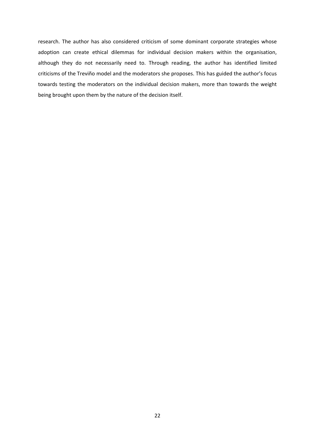research. The author has also considered criticism of some dominant corporate strategies whose adoption can create ethical dilemmas for individual decision makers within the organisation, although they do not necessarily need to. Through reading, the author has identified limited criticisms of the Treviño model and the moderators she proposes. This has guided the author's focus towards testing the moderators on the individual decision makers, more than towards the weight being brought upon them by the nature of the decision itself.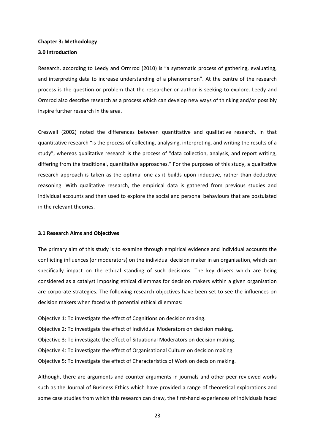#### <span id="page-29-0"></span>**Chapter 3: Methodology**

#### <span id="page-29-1"></span>**3.0 Introduction**

Research, according to Leedy and Ormrod (2010) is "a systematic process of gathering, evaluating, and interpreting data to increase understanding of a phenomenon". At the centre of the research process is the question or problem that the researcher or author is seeking to explore. Leedy and Ormrod also describe research as a process which can develop new ways of thinking and/or possibly inspire further research in the area.

Creswell (2002) noted the differences between quantitative and qualitative research, in that quantitative research "is the process of collecting, analysing, interpreting, and writing the results of a study", whereas qualitative research is the process of "data collection, analysis, and report writing, differing from the traditional, quantitative approaches." For the purposes of this study, a qualitative research approach is taken as the optimal one as it builds upon inductive, rather than deductive reasoning. With qualitative research, the empirical data is gathered from previous studies and individual accounts and then used to explore the social and personal behaviours that are postulated in the relevant theories.

#### <span id="page-29-2"></span>**3.1 Research Aims and Objectives**

The primary aim of this study is to examine through empirical evidence and individual accounts the conflicting influences (or moderators) on the individual decision maker in an organisation, which can specifically impact on the ethical standing of such decisions. The key drivers which are being considered as a catalyst imposing ethical dilemmas for decision makers within a given organisation are corporate strategies. The following research objectives have been set to see the influences on decision makers when faced with potential ethical dilemmas:

Objective 1: To investigate the effect of Cognitions on decision making. Objective 2: To investigate the effect of Individual Moderators on decision making. Objective 3: To investigate the effect of Situational Moderators on decision making. Objective 4: To investigate the effect of Organisational Culture on decision making. Objective 5: To investigate the effect of Characteristics of Work on decision making.

Although, there are arguments and counter arguments in journals and other peer-reviewed works such as the Journal of Business Ethics which have provided a range of theoretical explorations and some case studies from which this research can draw, the first-hand experiences of individuals faced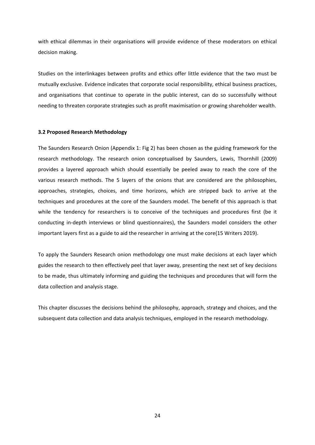with ethical dilemmas in their organisations will provide evidence of these moderators on ethical decision making.

Studies on the interlinkages between profits and ethics offer little evidence that the two must be mutually exclusive. Evidence indicates that corporate social responsibility, ethical business practices, and organisations that continue to operate in the public interest, can do so successfully without needing to threaten corporate strategies such as profit maximisation or growing shareholder wealth.

## <span id="page-30-0"></span>**3.2 Proposed Research Methodology**

The Saunders Research Onion (Appendix 1: Fig 2) has been chosen as the guiding framework for the research methodology. The research onion conceptualised by Saunders, Lewis, Thornhill (2009) provides a layered approach which should essentially be peeled away to reach the core of the various research methods. The 5 layers of the onions that are considered are the philosophies, approaches, strategies, choices, and time horizons, which are stripped back to arrive at the techniques and procedures at the core of the Saunders model. The benefit of this approach is that while the tendency for researchers is to conceive of the techniques and procedures first (be it conducting in-depth interviews or blind questionnaires), the Saunders model considers the other important layers first as a guide to aid the researcher in arriving at the core(15 Writers 2019).

To apply the Saunders Research onion methodology one must make decisions at each layer which guides the research to then effectively peel that layer away, presenting the next set of key decisions to be made, thus ultimately informing and guiding the techniques and procedures that will form the data collection and analysis stage.

This chapter discusses the decisions behind the philosophy, approach, strategy and choices, and the subsequent data collection and data analysis techniques, employed in the research methodology.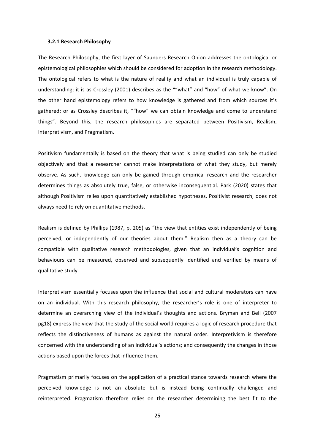#### <span id="page-31-0"></span>**3.2.1 Research Philosophy**

The Research Philosophy, the first layer of Saunders Research Onion addresses the ontological or epistemological philosophies which should be considered for adoption in the research methodology. The ontological refers to what is the nature of reality and what an individual is truly capable of understanding; it is as Crossley (2001) describes as the ""what" and "how" of what we know". On the other hand epistemology refers to how knowledge is gathered and from which sources it's gathered; or as Crossley describes it, ""how" we can obtain knowledge and come to understand things". Beyond this, the research philosophies are separated between Positivism, Realism, Interpretivism, and Pragmatism.

Positivism fundamentally is based on the theory that what is being studied can only be studied objectively and that a researcher cannot make interpretations of what they study, but merely observe. As such, knowledge can only be gained through empirical research and the researcher determines things as absolutely true, false, or otherwise inconsequential. Park (2020) states that although Positivism relies upon quantitatively established hypotheses, Positivist research, does not always need to rely on quantitative methods.

Realism is defined by Phillips (1987, p. 205) as "the view that entities exist independently of being perceived, or independently of our theories about them." Realism then as a theory can be compatible with qualitative research methodologies, given that an individual's cognition and behaviours can be measured, observed and subsequently identified and verified by means of qualitative study.

Interpretivism essentially focuses upon the influence that social and cultural moderators can have on an individual. With this research philosophy, the researcher's role is one of interpreter to determine an overarching view of the individual's thoughts and actions. Bryman and Bell (2007 pg18) express the view that the study of the social world requires a logic of research procedure that reflects the distinctiveness of humans as against the natural order. Interpretivism is therefore concerned with the understanding of an individual's actions; and consequently the changes in those actions based upon the forces that influence them.

Pragmatism primarily focuses on the application of a practical stance towards research where the perceived knowledge is not an absolute but is instead being continually challenged and reinterpreted. Pragmatism therefore relies on the researcher determining the best fit to the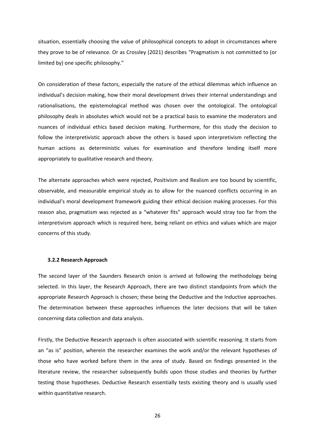situation, essentially choosing the value of philosophical concepts to adopt in circumstances where they prove to be of relevance. Or as Crossley (2021) describes "Pragmatism is not committed to (or limited by) one specific philosophy."

On consideration of these factors, especially the nature of the ethical dilemmas which influence an individual's decision making, how their moral development drives their internal understandings and rationalisations, the epistemological method was chosen over the ontological. The ontological philosophy deals in absolutes which would not be a practical basis to examine the moderators and nuances of individual ethics based decision making. Furthermore, for this study the decision to follow the interpretivistic approach above the others is based upon interpretivism reflecting the human actions as deterministic values for examination and therefore lending itself more appropriately to qualitative research and theory.

The alternate approaches which were rejected, Positivism and Realism are too bound by scientific, observable, and measurable empirical study as to allow for the nuanced conflicts occurring in an individual's moral development framework guiding their ethical decision making processes. For this reason also, pragmatism was rejected as a "whatever fits" approach would stray too far from the interpretivism approach which is required here, being reliant on ethics and values which are major concerns of this study.

#### <span id="page-32-0"></span>**3.2.2 Research Approach**

The second layer of the Saunders Research onion is arrived at following the methodology being selected. In this layer, the Research Approach, there are two distinct standpoints from which the appropriate Research Approach is chosen; these being the Deductive and the Inductive approaches. The determination between these approaches influences the later decisions that will be taken concerning data collection and data analysis.

Firstly, the Deductive Research approach is often associated with scientific reasoning. It starts from an "as is" position, wherein the researcher examines the work and/or the relevant hypotheses of those who have worked before them in the area of study. Based on findings presented in the literature review, the researcher subsequently builds upon those studies and theories by further testing those hypotheses. Deductive Research essentially tests existing theory and is usually used within quantitative research.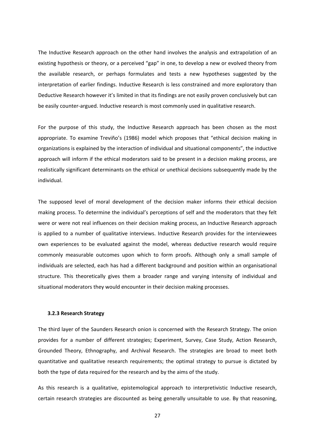The Inductive Research approach on the other hand involves the analysis and extrapolation of an existing hypothesis or theory, or a perceived "gap" in one, to develop a new or evolved theory from the available research, or perhaps formulates and tests a new hypotheses suggested by the interpretation of earlier findings. Inductive Research is less constrained and more exploratory than Deductive Research however it's limited in that its findings are not easily proven conclusively but can be easily counter-argued. Inductive research is most commonly used in qualitative research.

For the purpose of this study, the Inductive Research approach has been chosen as the most appropriate. To examine Treviño's (1986) model which proposes that "ethical decision making in organizations is explained by the interaction of individual and situational components", the inductive approach will inform if the ethical moderators said to be present in a decision making process, are realistically significant determinants on the ethical or unethical decisions subsequently made by the individual.

The supposed level of moral development of the decision maker informs their ethical decision making process. To determine the individual's perceptions of self and the moderators that they felt were or were not real influences on their decision making process, an Inductive Research approach is applied to a number of qualitative interviews. Inductive Research provides for the interviewees own experiences to be evaluated against the model, whereas deductive research would require commonly measurable outcomes upon which to form proofs. Although only a small sample of individuals are selected, each has had a different background and position within an organisational structure. This theoretically gives them a broader range and varying intensity of individual and situational moderators they would encounter in their decision making processes.

#### <span id="page-33-0"></span>**3.2.3 Research Strategy**

The third layer of the Saunders Research onion is concerned with the Research Strategy. The onion provides for a number of different strategies; Experiment, Survey, Case Study, Action Research, Grounded Theory, Ethnography, and Archival Research. The strategies are broad to meet both quantitative and qualitative research requirements; the optimal strategy to pursue is dictated by both the type of data required for the research and by the aims of the study.

As this research is a qualitative, epistemological approach to interpretivistic Inductive research, certain research strategies are discounted as being generally unsuitable to use. By that reasoning,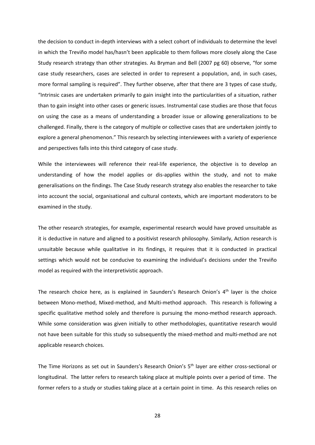the decision to conduct in-depth interviews with a select cohort of individuals to determine the level in which the Treviño model has/hasn't been applicable to them follows more closely along the Case Study research strategy than other strategies. As Bryman and Bell (2007 pg 60) observe, "for some case study researchers, cases are selected in order to represent a population, and, in such cases, more formal sampling is required". They further observe, after that there are 3 types of case study, "Intrinsic cases are undertaken primarily to gain insight into the particularities of a situation, rather than to gain insight into other cases or generic issues. Instrumental case studies are those that focus on using the case as a means of understanding a broader issue or allowing generalizations to be challenged. Finally, there is the category of multiple or collective cases that are undertaken jointly to explore a general phenomenon." This research by selecting interviewees with a variety of experience and perspectives falls into this third category of case study.

While the interviewees will reference their real-life experience, the objective is to develop an understanding of how the model applies or dis-applies within the study, and not to make generalisations on the findings. The Case Study research strategy also enables the researcher to take into account the social, organisational and cultural contexts, which are important moderators to be examined in the study.

The other research strategies, for example, experimental research would have proved unsuitable as it is deductive in nature and aligned to a positivist research philosophy. Similarly, Action research is unsuitable because while qualitative in its findings, it requires that it is conducted in practical settings which would not be conducive to examining the individual's decisions under the Treviño model as required with the interpretivistic approach.

The research choice here, as is explained in Saunders's Research Onion's 4<sup>th</sup> layer is the choice between Mono-method, Mixed-method, and Multi-method approach. This research is following a specific qualitative method solely and therefore is pursuing the mono-method research approach. While some consideration was given initially to other methodologies, quantitative research would not have been suitable for this study so subsequently the mixed-method and multi-method are not applicable research choices.

The Time Horizons as set out in Saunders's Research Onion's 5th layer are either cross-sectional or longitudinal. The latter refers to research taking place at multiple points over a period of time. The former refers to a study or studies taking place at a certain point in time. As this research relies on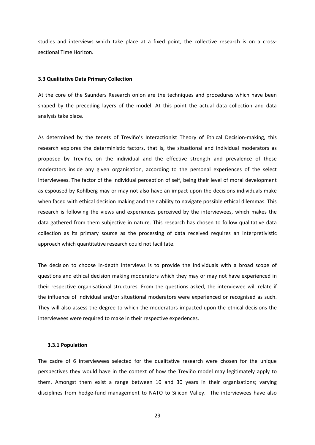studies and interviews which take place at a fixed point, the collective research is on a crosssectional Time Horizon.

#### <span id="page-35-0"></span>**3.3 Qualitative Data Primary Collection**

At the core of the Saunders Research onion are the techniques and procedures which have been shaped by the preceding layers of the model. At this point the actual data collection and data analysis take place.

As determined by the tenets of Treviño's Interactionist Theory of Ethical Decision-making, this research explores the deterministic factors, that is, the situational and individual moderators as proposed by Treviño, on the individual and the effective strength and prevalence of these moderators inside any given organisation, according to the personal experiences of the select interviewees. The factor of the individual perception of self, being their level of moral development as espoused by Kohlberg may or may not also have an impact upon the decisions individuals make when faced with ethical decision making and their ability to navigate possible ethical dilemmas. This research is following the views and experiences perceived by the interviewees, which makes the data gathered from them subjective in nature. This research has chosen to follow qualitative data collection as its primary source as the processing of data received requires an interpretivistic approach which quantitative research could not facilitate.

The decision to choose in-depth interviews is to provide the individuals with a broad scope of questions and ethical decision making moderators which they may or may not have experienced in their respective organisational structures. From the questions asked, the interviewee will relate if the influence of individual and/or situational moderators were experienced or recognised as such. They will also assess the degree to which the moderators impacted upon the ethical decisions the interviewees were required to make in their respective experiences.

#### <span id="page-35-1"></span>**3.3.1 Population**

The cadre of 6 interviewees selected for the qualitative research were chosen for the unique perspectives they would have in the context of how the Treviño model may legitimately apply to them. Amongst them exist a range between 10 and 30 years in their organisations; varying disciplines from hedge-fund management to NATO to Silicon Valley. The interviewees have also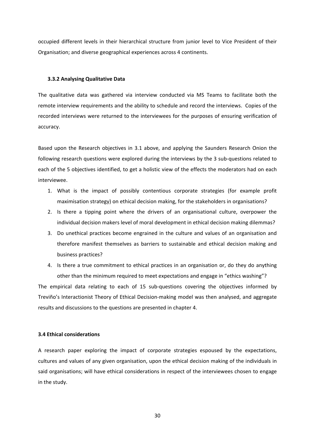occupied different levels in their hierarchical structure from junior level to Vice President of their Organisation; and diverse geographical experiences across 4 continents.

## <span id="page-36-0"></span>**3.3.2 Analysing Qualitative Data**

The qualitative data was gathered via interview conducted via MS Teams to facilitate both the remote interview requirements and the ability to schedule and record the interviews. Copies of the recorded interviews were returned to the interviewees for the purposes of ensuring verification of accuracy.

Based upon the Research objectives in 3.1 above, and applying the Saunders Research Onion the following research questions were explored during the interviews by the 3 sub-questions related to each of the 5 objectives identified, to get a holistic view of the effects the moderators had on each interviewee.

- 1. What is the impact of possibly contentious corporate strategies (for example profit maximisation strategy) on ethical decision making, for the stakeholders in organisations?
- 2. Is there a tipping point where the drivers of an organisational culture, overpower the individual decision makers level of moral development in ethical decision making dilemmas?
- 3. Do unethical practices become engrained in the culture and values of an organisation and therefore manifest themselves as barriers to sustainable and ethical decision making and business practices?
- 4. Is there a true commitment to ethical practices in an organisation or, do they do anything other than the minimum required to meet expectations and engage in "ethics washing"?

The empirical data relating to each of 15 sub-questions covering the objectives informed by Treviño's Interactionist Theory of Ethical Decision-making model was then analysed, and aggregate results and discussions to the questions are presented in chapter 4.

## <span id="page-36-1"></span>**3.4 Ethical considerations**

A research paper exploring the impact of corporate strategies espoused by the expectations, cultures and values of any given organisation, upon the ethical decision making of the individuals in said organisations; will have ethical considerations in respect of the interviewees chosen to engage in the study.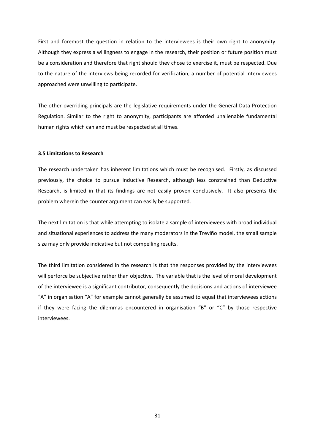First and foremost the question in relation to the interviewees is their own right to anonymity. Although they express a willingness to engage in the research, their position or future position must be a consideration and therefore that right should they chose to exercise it, must be respected. Due to the nature of the interviews being recorded for verification, a number of potential interviewees approached were unwilling to participate.

The other overriding principals are the legislative requirements under the General Data Protection Regulation. Similar to the right to anonymity, participants are afforded unalienable fundamental human rights which can and must be respected at all times.

## <span id="page-37-0"></span>**3.5 Limitations to Research**

The research undertaken has inherent limitations which must be recognised. Firstly, as discussed previously, the choice to pursue Inductive Research, although less constrained than Deductive Research, is limited in that its findings are not easily proven conclusively. It also presents the problem wherein the counter argument can easily be supported.

The next limitation is that while attempting to isolate a sample of interviewees with broad individual and situational experiences to address the many moderators in the Treviño model, the small sample size may only provide indicative but not compelling results.

The third limitation considered in the research is that the responses provided by the interviewees will perforce be subjective rather than objective. The variable that is the level of moral development of the interviewee is a significant contributor, consequently the decisions and actions of interviewee "A" in organisation "A" for example cannot generally be assumed to equal that interviewees actions if they were facing the dilemmas encountered in organisation "B" or "C" by those respective interviewees.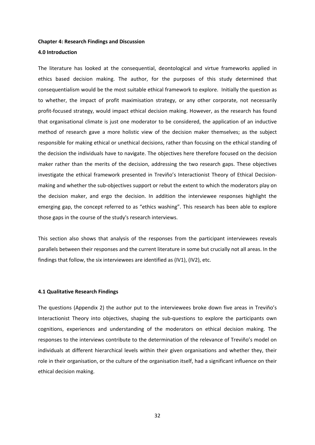#### <span id="page-38-0"></span>**Chapter 4: Research Findings and Discussion**

## <span id="page-38-1"></span>**4.0 Introduction**

The literature has looked at the consequential, deontological and virtue frameworks applied in ethics based decision making. The author, for the purposes of this study determined that consequentialism would be the most suitable ethical framework to explore. Initially the question as to whether, the impact of profit maximisation strategy, or any other corporate, not necessarily profit-focused strategy, would impact ethical decision making. However, as the research has found that organisational climate is just one moderator to be considered, the application of an inductive method of research gave a more holistic view of the decision maker themselves; as the subject responsible for making ethical or unethical decisions, rather than focusing on the ethical standing of the decision the individuals have to navigate. The objectives here therefore focused on the decision maker rather than the merits of the decision, addressing the two research gaps. These objectives investigate the ethical framework presented in Treviño's Interactionist Theory of Ethical Decisionmaking and whether the sub-objectives support or rebut the extent to which the moderators play on the decision maker, and ergo the decision. In addition the interviewee responses highlight the emerging gap, the concept referred to as "ethics washing". This research has been able to explore those gaps in the course of the study's research interviews.

This section also shows that analysis of the responses from the participant interviewees reveals parallels between their responses and the current literature in some but crucially not all areas. In the findings that follow, the six interviewees are identified as (IV1), (IV2), etc.

#### <span id="page-38-2"></span>**4.1 Qualitative Research Findings**

The questions (Appendix 2) the author put to the interviewees broke down five areas in Treviño's Interactionist Theory into objectives, shaping the sub-questions to explore the participants own cognitions, experiences and understanding of the moderators on ethical decision making. The responses to the interviews contribute to the determination of the relevance of Treviño's model on individuals at different hierarchical levels within their given organisations and whether they, their role in their organisation, or the culture of the organisation itself, had a significant influence on their ethical decision making.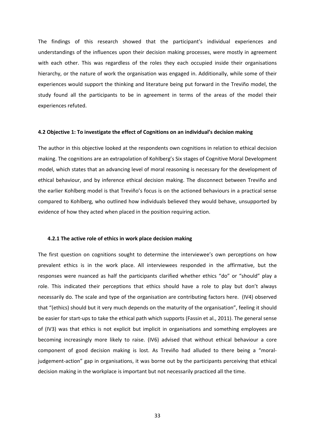The findings of this research showed that the participant's individual experiences and understandings of the influences upon their decision making processes, were mostly in agreement with each other. This was regardless of the roles they each occupied inside their organisations hierarchy, or the nature of work the organisation was engaged in. Additionally, while some of their experiences would support the thinking and literature being put forward in the Treviño model, the study found all the participants to be in agreement in terms of the areas of the model their experiences refuted.

#### <span id="page-39-0"></span>**4.2 Objective 1: To investigate the effect of Cognitions on an individual's decision making**

The author in this objective looked at the respondents own cognitions in relation to ethical decision making. The cognitions are an extrapolation of Kohlberg's Six stages of Cognitive Moral Development model, which states that an advancing level of moral reasoning is necessary for the development of ethical behaviour, and by inference ethical decision making. The disconnect between Treviño and the earlier Kohlberg model is that Treviño's focus is on the actioned behaviours in a practical sense compared to Kohlberg, who outlined how individuals believed they would behave, unsupported by evidence of how they acted when placed in the position requiring action.

#### <span id="page-39-1"></span>**4.2.1 The active role of ethics in work place decision making**

The first question on cognitions sought to determine the interviewee's own perceptions on how prevalent ethics is in the work place. All interviewees responded in the affirmative, but the responses were nuanced as half the participants clarified whether ethics "do" or "should" play a role. This indicated their perceptions that ethics should have a role to play but don't always necessarily do. The scale and type of the organisation are contributing factors here. (IV4) observed that "(ethics) should but it very much depends on the maturity of the organisation", feeling it should be easier for start-ups to take the ethical path which supports (Fassin et al., 2011). The general sense of (IV3) was that ethics is not explicit but implicit in organisations and something employees are becoming increasingly more likely to raise. (IV6) advised that without ethical behaviour a core component of good decision making is lost. As Treviño had alluded to there being a "moraljudgement-action" gap in organisations, it was borne out by the participants perceiving that ethical decision making in the workplace is important but not necessarily practiced all the time.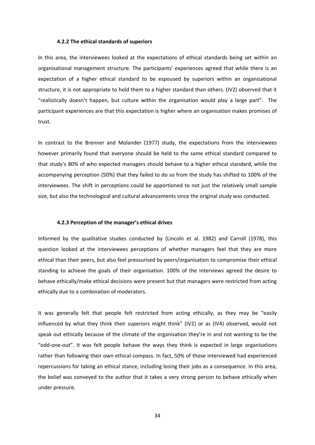#### <span id="page-40-0"></span>**4.2.2 The ethical standards of superiors**

In this area, the interviewees looked at the expectations of ethical standards being set within an organisational management structure. The participants' experiences agreed that while there is an expectation of a higher ethical standard to be espoused by superiors within an organisational structure, it is not appropriate to hold them to a higher standard than others. (IV2) observed that it "realistically doesn't happen, but culture within the organisation would play a large part". The participant experiences are that this expectation is higher where an organisation makes promises of trust.

In contrast to the Brenner and Molander (1977) study, the expectations from the interviewees however primarily found that everyone should be held to the same ethical standard compared to that study's 80% of who expected managers should behave to a higher ethical standard, while the accompanying perception (50%) that they failed to do so from the study has shifted to 100% of the interviewees. The shift in perceptions could be apportioned to not just the relatively small sample size, but also the technological and cultural advancements since the original study was conducted.

#### <span id="page-40-1"></span>**4.2.3 Perception of the manager's ethical drives**

Informed by the qualitative studies conducted by (Lincoln et al. 1982) and Carroll (1978), this question looked at the interviewees perceptions of whether managers feel that they are more ethical than their peers, but also feel pressurised by peers/organisation to compromise their ethical standing to achieve the goals of their organisation. 100% of the interviews agreed the desire to behave ethically/make ethical decisions were present but that managers were restricted from acting ethically due to a combination of moderators.

It was generally felt that people felt restricted from acting ethically, as they may be "easily influenced by what they think their superiors might think" (IV2) or as (IV4) observed, would not speak out ethically because of the climate of the organisation they're in and not wanting to be the "odd-one-out". It was felt people behave the ways they think is expected in large organisations rather than following their own ethical compass. In fact, 50% of those interviewed had experienced repercussions for taking an ethical stance, including losing their jobs as a consequence. In this area, the belief was conveyed to the author that it takes a very strong person to behave ethically when under pressure.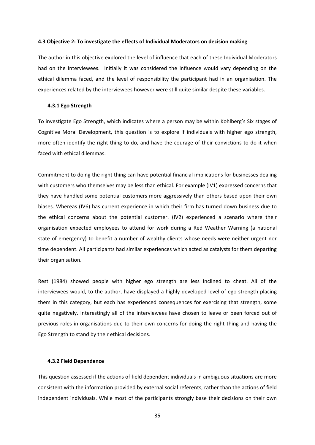#### <span id="page-41-0"></span>**4.3 Objective 2: To investigate the effects of Individual Moderators on decision making**

The author in this objective explored the level of influence that each of these Individual Moderators had on the interviewees. Initially it was considered the influence would vary depending on the ethical dilemma faced, and the level of responsibility the participant had in an organisation. The experiences related by the interviewees however were still quite similar despite these variables.

#### <span id="page-41-1"></span>**4.3.1 Ego Strength**

To investigate Ego Strength, which indicates where a person may be within Kohlberg's Six stages of Cognitive Moral Development, this question is to explore if individuals with higher ego strength, more often identify the right thing to do, and have the courage of their convictions to do it when faced with ethical dilemmas.

Commitment to doing the right thing can have potential financial implications for businesses dealing with customers who themselves may be less than ethical. For example (IV1) expressed concerns that they have handled some potential customers more aggressively than others based upon their own biases. Whereas (IV6) has current experience in which their firm has turned down business due to the ethical concerns about the potential customer. (IV2) experienced a scenario where their organisation expected employees to attend for work during a Red Weather Warning (a national state of emergency) to benefit a number of wealthy clients whose needs were neither urgent nor time dependent. All participants had similar experiences which acted as catalysts for them departing their organisation.

Rest (1984) showed people with higher ego strength are less inclined to cheat. All of the interviewees would, to the author, have displayed a highly developed level of ego strength placing them in this category, but each has experienced consequences for exercising that strength, some quite negatively. Interestingly all of the interviewees have chosen to leave or been forced out of previous roles in organisations due to their own concerns for doing the right thing and having the Ego Strength to stand by their ethical decisions.

## <span id="page-41-2"></span>**4.3.2 Field Dependence**

This question assessed if the actions of field dependent individuals in ambiguous situations are more consistent with the information provided by external social referents, rather than the actions of field independent individuals. While most of the participants strongly base their decisions on their own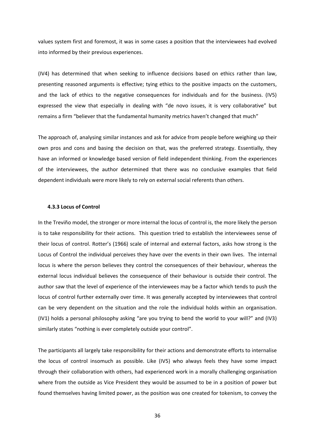values system first and foremost, it was in some cases a position that the interviewees had evolved into informed by their previous experiences.

(IV4) has determined that when seeking to influence decisions based on ethics rather than law, presenting reasoned arguments is effective; tying ethics to the positive impacts on the customers, and the lack of ethics to the negative consequences for individuals and for the business. (IV5) expressed the view that especially in dealing with "de novo issues, it is very collaborative" but remains a firm "believer that the fundamental humanity metrics haven't changed that much"

The approach of, analysing similar instances and ask for advice from people before weighing up their own pros and cons and basing the decision on that, was the preferred strategy. Essentially, they have an informed or knowledge based version of field independent thinking. From the experiences of the interviewees, the author determined that there was no conclusive examples that field dependent individuals were more likely to rely on external social referents than others.

## <span id="page-42-0"></span>**4.3.3 Locus of Control**

In the Treviño model, the stronger or more internal the locus of control is, the more likely the person is to take responsibility for their actions. This question tried to establish the interviewees sense of their locus of control. Rotter's (1966) scale of internal and external factors, asks how strong is the Locus of Control the individual perceives they have over the events in their own lives. The internal locus is where the person believes they control the consequences of their behaviour, whereas the external locus individual believes the consequence of their behaviour is outside their control. The author saw that the level of experience of the interviewees may be a factor which tends to push the locus of control further externally over time. It was generally accepted by interviewees that control can be very dependent on the situation and the role the individual holds within an organisation. (IV1) holds a personal philosophy asking "are you trying to bend the world to your will?" and (IV3) similarly states "nothing is ever completely outside your control".

The participants all largely take responsibility for their actions and demonstrate efforts to internalise the locus of control insomuch as possible. Like (IV5) who always feels they have some impact through their collaboration with others, had experienced work in a morally challenging organisation where from the outside as Vice President they would be assumed to be in a position of power but found themselves having limited power, as the position was one created for tokenism, to convey the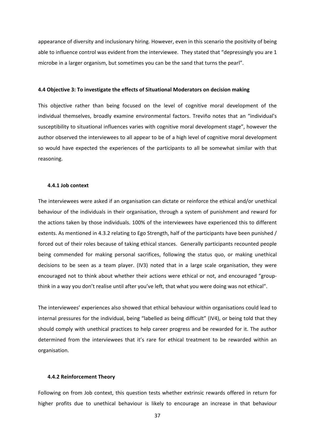appearance of diversity and inclusionary hiring. However, even in this scenario the positivity of being able to influence control was evident from the interviewee. They stated that "depressingly you are 1 microbe in a larger organism, but sometimes you can be the sand that turns the pearl".

## <span id="page-43-0"></span>**4.4 Objective 3: To investigate the effects of Situational Moderators on decision making**

This objective rather than being focused on the level of cognitive moral development of the individual themselves, broadly examine environmental factors. Treviño notes that an "individual's susceptibility to situational influences varies with cognitive moral development stage", however the author observed the interviewees to all appear to be of a high level of cognitive moral development so would have expected the experiences of the participants to all be somewhat similar with that reasoning.

#### <span id="page-43-1"></span>**4.4.1 Job context**

The interviewees were asked if an organisation can dictate or reinforce the ethical and/or unethical behaviour of the individuals in their organisation, through a system of punishment and reward for the actions taken by those individuals. 100% of the interviewees have experienced this to different extents. As mentioned in 4.3.2 relating to Ego Strength, half of the participants have been punished / forced out of their roles because of taking ethical stances. Generally participants recounted people being commended for making personal sacrifices, following the status quo, or making unethical decisions to be seen as a team player. (IV3) noted that in a large scale organisation, they were encouraged not to think about whether their actions were ethical or not, and encouraged "groupthink in a way you don't realise until after you've left, that what you were doing was not ethical".

The interviewees' experiences also showed that ethical behaviour within organisations could lead to internal pressures for the individual, being "labelled as being difficult" (IV4), or being told that they should comply with unethical practices to help career progress and be rewarded for it. The author determined from the interviewees that it's rare for ethical treatment to be rewarded within an organisation.

## <span id="page-43-2"></span>**4.4.2 Reinforcement Theory**

Following on from Job context, this question tests whether extrinsic rewards offered in return for higher profits due to unethical behaviour is likely to encourage an increase in that behaviour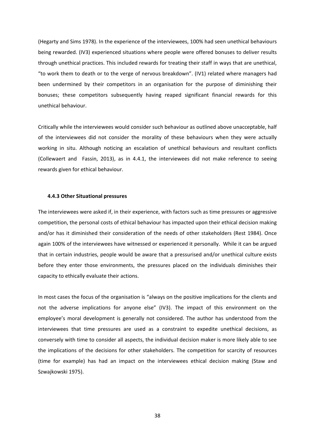(Hegarty and Sims 1978). In the experience of the interviewees, 100% had seen unethical behaviours being rewarded. (IV3) experienced situations where people were offered bonuses to deliver results through unethical practices. This included rewards for treating their staff in ways that are unethical, "to work them to death or to the verge of nervous breakdown". (IV1) related where managers had been undermined by their competitors in an organisation for the purpose of diminishing their bonuses; these competitors subsequently having reaped significant financial rewards for this unethical behaviour.

Critically while the interviewees would consider such behaviour as outlined above unacceptable, half of the interviewees did not consider the morality of these behaviours when they were actually working in situ. Although noticing an escalation of unethical behaviours and resultant conflicts (Collewaert and Fassin, 2013), as in 4.4.1, the interviewees did not make reference to seeing rewards given for ethical behaviour.

## <span id="page-44-0"></span>**4.4.3 Other Situational pressures**

The interviewees were asked if, in their experience, with factors such as time pressures or aggressive competition, the personal costs of ethical behaviour has impacted upon their ethical decision making and/or has it diminished their consideration of the needs of other stakeholders (Rest 1984). Once again 100% of the interviewees have witnessed or experienced it personally. While it can be argued that in certain industries, people would be aware that a pressurised and/or unethical culture exists before they enter those environments, the pressures placed on the individuals diminishes their capacity to ethically evaluate their actions.

In most cases the focus of the organisation is "always on the positive implications for the clients and not the adverse implications for anyone else" (IV3). The impact of this environment on the employee's moral development is generally not considered. The author has understood from the interviewees that time pressures are used as a constraint to expedite unethical decisions, as conversely with time to consider all aspects, the individual decision maker is more likely able to see the implications of the decisions for other stakeholders. The competition for scarcity of resources (time for example) has had an impact on the interviewees ethical decision making (Staw and Szwajkowski 1975).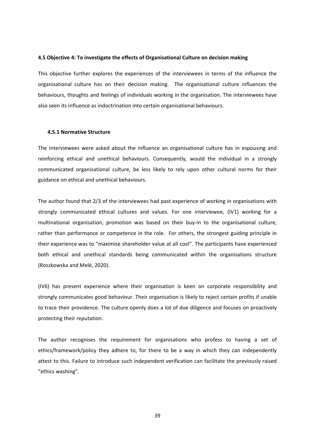## <span id="page-45-0"></span>**4.5 Objective 4: To investigate the effects of Organisational Culture on decision making**

This objective further explores the experiences of the interviewees in terms of the influence the organisational culture has on their decision making. The organisational culture influences the behaviours, thoughts and feelings of individuals working in the organisation. The interviewees have also seen its influence as indoctrination into certain organisational behaviours.

#### <span id="page-45-1"></span>**4.5.1 Normative Structure**

The interviewees were asked about the influence an organisational culture has in espousing and reinforcing ethical and unethical behaviours. Consequently, would the individual in a strongly communicated organisational culture, be less likely to rely upon other cultural norms for their guidance on ethical and unethical behaviours.

The author found that 2/3 of the interviewees had past experience of working in organisations with strongly communicated ethical cultures and values. For one interviewee, (IV1) working for a multinational organisation, promotion was based on their buy-in to the organisational culture, rather than performance or competence in the role. For others, the strongest guiding principle in their experience was to "maximise shareholder value at all cost". The participants have experienced both ethical and unethical standards being communicated within the organisations structure (Roszkowska and Melé, 2020).

(IV6) has present experience where their organisation is keen on corporate responsibility and strongly communicates good behaviour. Their organisation is likely to reject certain profits if unable to trace their providence. The culture openly does a lot of due diligence and focuses on proactively protecting their reputation.

The author recognises the requirement for organisations who profess to having a set of ethics/framework/policy they adhere to, for there to be a way in which they can independently attest to this. Failure to introduce such independent verification can facilitate the previously raised "ethics washing".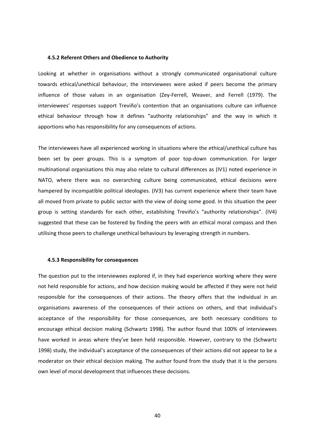#### <span id="page-46-0"></span>**4.5.2 Referent Others and Obedience to Authority**

Looking at whether in organisations without a strongly communicated organisational culture towards ethical/unethical behaviour, the interviewees were asked if peers become the primary influence of those values in an organisation (Zey-Ferrell, Weaver, and Ferrell (1979). The interviewees' responses support Treviño's contention that an organisations culture can influence ethical behaviour through how it defines "authority relationships" and the way in which it apportions who has responsibility for any consequences of actions.

The interviewees have all experienced working in situations where the ethical/unethical culture has been set by peer groups. This is a symptom of poor top-down communication. For larger multinational organisations this may also relate to cultural differences as (IV1) noted experience in NATO, where there was no overarching culture being communicated, ethical decisions were hampered by incompatible political ideologies. (IV3) has current experience where their team have all moved from private to public sector with the view of doing some good. In this situation the peer group is setting standards for each other, establishing Treviño's "authority relationships". (IV4) suggested that these can be fostered by finding the peers with an ethical moral compass and then utilising those peers to challenge unethical behaviours by leveraging strength in numbers.

## <span id="page-46-1"></span>**4.5.3 Responsibility for consequences**

The question put to the interviewees explored if, in they had experience working where they were not held responsible for actions, and how decision making would be affected if they were not held responsible for the consequences of their actions. The theory offers that the individual in an organisations awareness of the consequences of their actions on others, and that individual's acceptance of the responsibility for those consequences, are both necessary conditions to encourage ethical decision making (Schwartz 1998). The author found that 100% of interviewees have worked in areas where they've been held responsible. However, contrary to the (Schwartz 1998) study, the individual's acceptance of the consequences of their actions did not appear to be a moderator on their ethical decision making. The author found from the study that it is the persons own level of moral development that influences these decisions.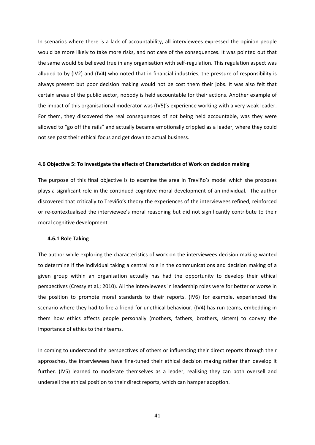In scenarios where there is a lack of accountability, all interviewees expressed the opinion people would be more likely to take more risks, and not care of the consequences. It was pointed out that the same would be believed true in any organisation with self-regulation. This regulation aspect was alluded to by (IV2) and (IV4) who noted that in financial industries, the pressure of responsibility is always present but poor decision making would not be cost them their jobs. It was also felt that certain areas of the public sector, nobody is held accountable for their actions. Another example of the impact of this organisational moderator was (IV5)'s experience working with a very weak leader. For them, they discovered the real consequences of not being held accountable, was they were allowed to "go off the rails" and actually became emotionally crippled as a leader, where they could not see past their ethical focus and get down to actual business.

## <span id="page-47-0"></span>**4.6 Objective 5: To investigate the effects of Characteristics of Work on decision making**

The purpose of this final objective is to examine the area in Treviño's model which she proposes plays a significant role in the continued cognitive moral development of an individual. The author discovered that critically to Treviño's theory the experiences of the interviewees refined, reinforced or re-contextualised the interviewee's moral reasoning but did not significantly contribute to their moral cognitive development.

#### <span id="page-47-1"></span>**4.6.1 Role Taking**

The author while exploring the characteristics of work on the interviewees decision making wanted to determine if the individual taking a central role in the communications and decision making of a given group within an organisation actually has had the opportunity to develop their ethical perspectives (Cressy et al.; 2010). All the interviewees in leadership roles were for better or worse in the position to promote moral standards to their reports. (IV6) for example, experienced the scenario where they had to fire a friend for unethical behaviour. (IV4) has run teams, embedding in them how ethics affects people personally (mothers, fathers, brothers, sisters) to convey the importance of ethics to their teams.

In coming to understand the perspectives of others or influencing their direct reports through their approaches, the interviewees have fine-tuned their ethical decision making rather than develop it further. (IV5) learned to moderate themselves as a leader, realising they can both oversell and undersell the ethical position to their direct reports, which can hamper adoption.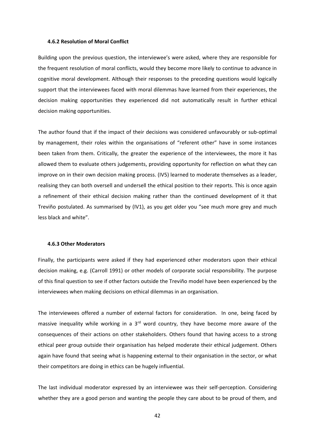## <span id="page-48-0"></span>**4.6.2 Resolution of Moral Conflict**

Building upon the previous question, the interviewee's were asked, where they are responsible for the frequent resolution of moral conflicts, would they become more likely to continue to advance in cognitive moral development. Although their responses to the preceding questions would logically support that the interviewees faced with moral dilemmas have learned from their experiences, the decision making opportunities they experienced did not automatically result in further ethical decision making opportunities.

The author found that if the impact of their decisions was considered unfavourably or sub-optimal by management, their roles within the organisations of "referent other" have in some instances been taken from them. Critically, the greater the experience of the interviewees, the more it has allowed them to evaluate others judgements, providing opportunity for reflection on what they can improve on in their own decision making process. (IV5) learned to moderate themselves as a leader, realising they can both oversell and undersell the ethical position to their reports. This is once again a refinement of their ethical decision making rather than the continued development of it that Treviño postulated. As summarised by (IV1), as you get older you "see much more grey and much less black and white".

#### <span id="page-48-1"></span>**4.6.3 Other Moderators**

Finally, the participants were asked if they had experienced other moderators upon their ethical decision making, e.g. (Carroll 1991) or other models of corporate social responsibility. The purpose of this final question to see if other factors outside the Treviño model have been experienced by the interviewees when making decisions on ethical dilemmas in an organisation.

The interviewees offered a number of external factors for consideration. In one, being faced by massive inequality while working in a  $3<sup>rd</sup>$  word country, they have become more aware of the consequences of their actions on other stakeholders. Others found that having access to a strong ethical peer group outside their organisation has helped moderate their ethical judgement. Others again have found that seeing what is happening external to their organisation in the sector, or what their competitors are doing in ethics can be hugely influential.

The last individual moderator expressed by an interviewee was their self-perception. Considering whether they are a good person and wanting the people they care about to be proud of them, and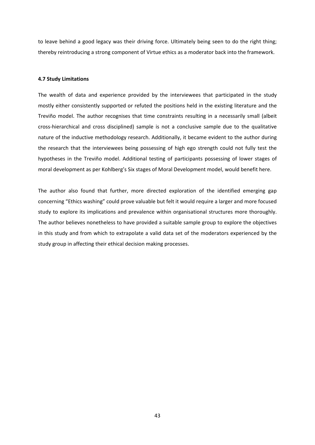to leave behind a good legacy was their driving force. Ultimately being seen to do the right thing; thereby reintroducing a strong component of Virtue ethics as a moderator back into the framework.

## <span id="page-49-0"></span>**4.7 Study Limitations**

The wealth of data and experience provided by the interviewees that participated in the study mostly either consistently supported or refuted the positions held in the existing literature and the Treviño model. The author recognises that time constraints resulting in a necessarily small (albeit cross-hierarchical and cross disciplined) sample is not a conclusive sample due to the qualitative nature of the inductive methodology research. Additionally, it became evident to the author during the research that the interviewees being possessing of high ego strength could not fully test the hypotheses in the Treviño model. Additional testing of participants possessing of lower stages of moral development as per Kohlberg's Six stages of Moral Development model, would benefit here.

The author also found that further, more directed exploration of the identified emerging gap concerning "Ethics washing" could prove valuable but felt it would require a larger and more focused study to explore its implications and prevalence within organisational structures more thoroughly. The author believes nonetheless to have provided a suitable sample group to explore the objectives in this study and from which to extrapolate a valid data set of the moderators experienced by the study group in affecting their ethical decision making processes.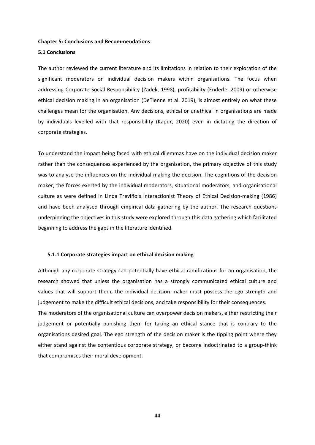#### <span id="page-50-0"></span>**Chapter 5: Conclusions and Recommendations**

## <span id="page-50-1"></span>**5.1 Conclusions**

The author reviewed the current literature and its limitations in relation to their exploration of the significant moderators on individual decision makers within organisations. The focus when addressing Corporate Social Responsibility (Zadek, 1998), profitability (Enderle, 2009) or otherwise ethical decision making in an organisation (DeTienne et al. 2019), is almost entirely on what these challenges mean for the organisation. Any decisions, ethical or unethical in organisations are made by individuals levelled with that responsibility (Kapur, 2020) even in dictating the direction of corporate strategies.

To understand the impact being faced with ethical dilemmas have on the individual decision maker rather than the consequences experienced by the organisation, the primary objective of this study was to analyse the influences on the individual making the decision. The cognitions of the decision maker, the forces exerted by the individual moderators, situational moderators, and organisational culture as were defined in Linda Treviño's Interactionist Theory of Ethical Decision-making (1986) and have been analysed through empirical data gathering by the author. The research questions underpinning the objectives in this study were explored through this data gathering which facilitated beginning to address the gaps in the literature identified.

#### <span id="page-50-2"></span>**5.1.1 Corporate strategies impact on ethical decision making**

Although any corporate strategy can potentially have ethical ramifications for an organisation, the research showed that unless the organisation has a strongly communicated ethical culture and values that will support them, the individual decision maker must possess the ego strength and judgement to make the difficult ethical decisions, and take responsibility for their consequences. The moderators of the organisational culture can overpower decision makers, either restricting their judgement or potentially punishing them for taking an ethical stance that is contrary to the organisations desired goal. The ego strength of the decision maker is the tipping point where they either stand against the contentious corporate strategy, or become indoctrinated to a group-think that compromises their moral development.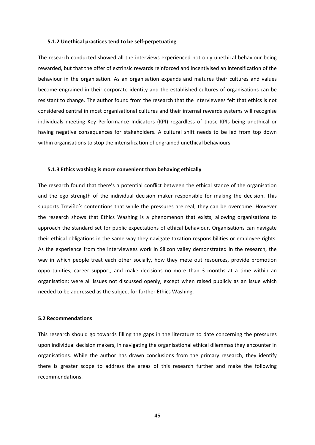## <span id="page-51-0"></span>**5.1.2 Unethical practices tend to be self-perpetuating**

The research conducted showed all the interviews experienced not only unethical behaviour being rewarded, but that the offer of extrinsic rewards reinforced and incentivised an intensification of the behaviour in the organisation. As an organisation expands and matures their cultures and values become engrained in their corporate identity and the established cultures of organisations can be resistant to change. The author found from the research that the interviewees felt that ethics is not considered central in most organisational cultures and their internal rewards systems will recognise individuals meeting Key Performance Indicators (KPI) regardless of those KPIs being unethical or having negative consequences for stakeholders. A cultural shift needs to be led from top down within organisations to stop the intensification of engrained unethical behaviours.

#### <span id="page-51-1"></span>**5.1.3 Ethics washing is more convenient than behaving ethically**

The research found that there's a potential conflict between the ethical stance of the organisation and the ego strength of the individual decision maker responsible for making the decision. This supports Treviño's contentions that while the pressures are real, they can be overcome. However the research shows that Ethics Washing is a phenomenon that exists, allowing organisations to approach the standard set for public expectations of ethical behaviour. Organisations can navigate their ethical obligations in the same way they navigate taxation responsibilities or employee rights. As the experience from the interviewees work in Silicon valley demonstrated in the research, the way in which people treat each other socially, how they mete out resources, provide promotion opportunities, career support, and make decisions no more than 3 months at a time within an organisation; were all issues not discussed openly, except when raised publicly as an issue which needed to be addressed as the subject for further Ethics Washing.

## <span id="page-51-2"></span>**5.2 Recommendations**

This research should go towards filling the gaps in the literature to date concerning the pressures upon individual decision makers, in navigating the organisational ethical dilemmas they encounter in organisations. While the author has drawn conclusions from the primary research, they identify there is greater scope to address the areas of this research further and make the following recommendations.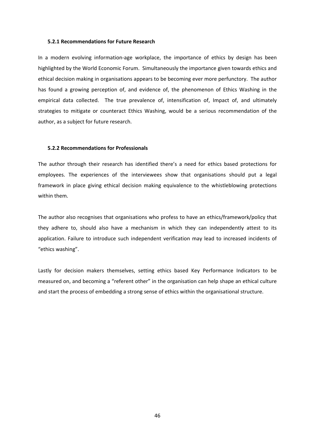#### <span id="page-52-0"></span>**5.2.1 Recommendations for Future Research**

In a modern evolving information-age workplace, the importance of ethics by design has been highlighted by the World Economic Forum. Simultaneously the importance given towards ethics and ethical decision making in organisations appears to be becoming ever more perfunctory. The author has found a growing perception of, and evidence of, the phenomenon of Ethics Washing in the empirical data collected. The true prevalence of, intensification of, Impact of, and ultimately strategies to mitigate or counteract Ethics Washing, would be a serious recommendation of the author, as a subject for future research.

## <span id="page-52-1"></span>**5.2.2 Recommendations for Professionals**

The author through their research has identified there's a need for ethics based protections for employees. The experiences of the interviewees show that organisations should put a legal framework in place giving ethical decision making equivalence to the whistleblowing protections within them.

The author also recognises that organisations who profess to have an ethics/framework/policy that they adhere to, should also have a mechanism in which they can independently attest to its application. Failure to introduce such independent verification may lead to increased incidents of "ethics washing".

Lastly for decision makers themselves, setting ethics based Key Performance Indicators to be measured on, and becoming a "referent other" in the organisation can help shape an ethical culture and start the process of embedding a strong sense of ethics within the organisational structure.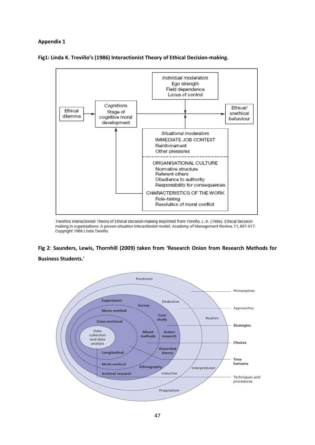# <span id="page-53-0"></span>**Appendix 1**





Treviño's Interactionist Theory of Ethical Decision-making Reprinted from Treviño, L. K. (1986). Ethical decision making in organizations: A person-situation interactionist model. Academy of Management Review, 11, 601-617. Copyright 1986 Linda Treviño.

# **Fig 2**: **Saunders, Lewis, Thornhill (2009) taken from 'Research Onion from Research Methods for Business Students.**'

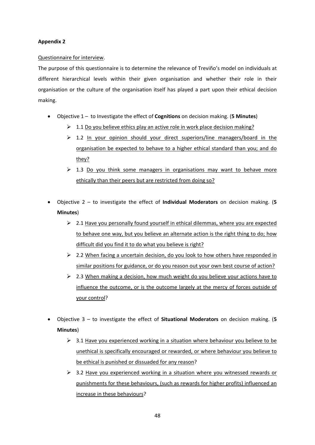# **Appendix 2**

## Questionnaire for interview.

The purpose of this questionnaire is to determine the relevance of Treviño's model on individuals at different hierarchical levels within their given organisation and whether their role in their organisation or the culture of the organisation itself has played a part upon their ethical decision making.

- Objective 1 to Investigate the effect of **Cognitions** on decision making. (**5 Minutes**)
	- $\geq 1.1$  Do you believe ethics play an active role in work place decision making?
	- $\geq 1.2$  In your opinion should your direct superiors/line managers/board in the organisation be expected to behave to a higher ethical standard than you; and do they?
	- $\geq$  1.3 Do you think some managers in organisations may want to behave more ethically than their peers but are restricted from doing so?
- Objective 2 to investigate the effect of **Individual Moderators** on decision making. (**5 Minutes**)
	- $\geq 2.1$  Have you personally found yourself in ethical dilemmas, where you are expected to behave one way, but you believe an alternate action is the right thing to do; how difficult did you find it to do what you believe is right?
	- $\geq$  2.2 When facing a uncertain decision, do you look to how others have responded in similar positions for guidance, or do you reason out your own best course of action?
	- $\geq$  2.3 When making a decision, how much weight do you believe your actions have to influence the outcome, or is the outcome largely at the mercy of forces outside of your control?
- Objective 3 to investigate the effect of **Situational Moderators** on decision making. (**5 Minutes**)
	- $\geq$  3.1 Have you experienced working in a situation where behaviour you believe to be unethical is specifically encouraged or rewarded, or where behaviour you believe to be ethical is punished or dissuaded for any reason?
	- $\geq$  3.2 Have you experienced working in a situation where you witnessed rewards or punishments for these behaviours, (such as rewards for higher profits) influenced an increase in these behaviours?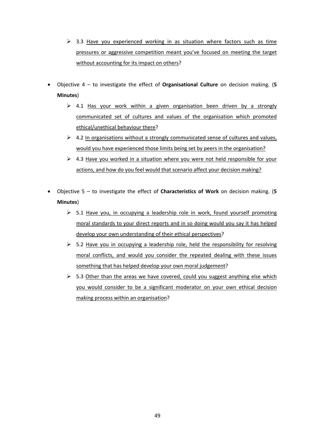- $\triangleright$  3.3 Have you experienced working in as situation where factors such as time pressures or aggressive competition meant you've focused on meeting the target without accounting for its impact on others?
- Objective 4 to investigate the effect of **Organisational Culture** on decision making. (**5 Minutes**)
	- $\geq$  4.1 Has your work within a given organisation been driven by a strongly communicated set of cultures and values of the organisation which promoted ethical/unethical behaviour there?
	- $\triangleright$  4.2 In organisations without a strongly communicated sense of cultures and values, would you have experienced those limits being set by peers in the organisation?
	- $\triangleright$  4.3 Have you worked in a situation where you were not held responsible for your actions, and how do you feel would that scenario affect your decision making?
- Objective 5 to investigate the effect of **Characteristics of Work** on decision making. (**5 Minutes**)
	- $\geq$  5.1 Have you, in occupying a leadership role in work, found yourself promoting moral standards to your direct reports and in so doing would you say it has helped develop your own understanding of their ethical perspectives?
	- $\geq$  5.2 Have you in occupying a leadership role, held the responsibility for resolving moral conflicts, and would you consider the repeated dealing with these issues something that has helped develop your own moral judgement?
	- $\triangleright$  5.3 Other than the areas we have covered, could you suggest anything else which you would consider to be a significant moderator on your own ethical decision making process within an organisation?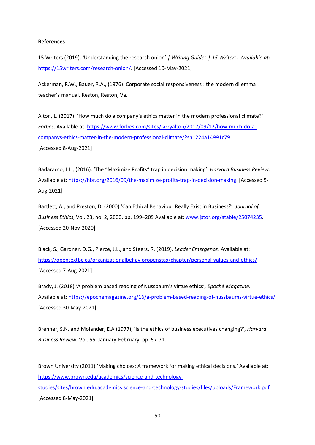## <span id="page-56-0"></span>**References**

15 Writers (2019). *'*Understanding the research onion' *| Writing Guides | 15 Writers. Available at:* [https://15writers.com/research-onion/.](https://15writers.com/research-onion/) [Accessed 10-May-2021]

Ackerman, R.W., Bauer, R.A., (1976). Corporate social responsiveness : the modern dilemma : teacher's manual. Reston, Reston, Va.

Alton, L. (2017). 'How much do a company's ethics matter in the modern professional climate?' *Forbes*. Available at: [https://www.forbes.com/sites/larryalton/2017/09/12/how-much-do-a](https://www.forbes.com/sites/larryalton/2017/09/12/how-much-do-a-companys-ethics-matter-in-the-modern-professional-climate/?sh=224a14991c79)[companys-ethics-matter-in-the-modern-professional-climate/?sh=224a14991c79](https://www.forbes.com/sites/larryalton/2017/09/12/how-much-do-a-companys-ethics-matter-in-the-modern-professional-climate/?sh=224a14991c79) [Accessed 8-Aug-2021]

Badaracco, J.L., (2016). 'The "Maximize Profits" trap in decision making'. *Harvard Business Review*. Available at[: https://hbr.org/2016/09/the-maximize-profits-trap-in-decision-making.](https://hbr.org/2016/09/the-maximize-profits-trap-in-decision-making) [Accessed 5- Aug-2021]

Bartlett, A., and Preston, D. (2000) 'Can Ethical Behaviour Really Exist in Business?' *Journal of Business Ethics*, Vol. 23, no. 2, 2000, pp. 199–209 Available at: [www.jstor.org/stable/25074235.](http://www.jstor.org/stable/25074235) [Accessed 20-Nov-2020].

Black, S., Gardner, D.G., Pierce, J.L., and Steers, R. (2019). *Leader Emergence*. Available at: <https://opentextbc.ca/organizationalbehavioropenstax/chapter/personal-values-and-ethics/> [Accessed 7-Aug-2021]

Brady, J. (2018) 'A problem based reading of Nussbaum's virtue ethics'*, Epoché Magazine*. Available at[: https://epochemagazine.org/16/a-problem-based-reading-of-nussbaums-virtue-ethics/](https://epochemagazine.org/16/a-problem-based-reading-of-nussbaums-virtue-ethics/) [Accessed 30-May-2021]

Brenner, S.N. and Molander, E.A.(1977), 'Is the ethics of business executives changing?', *Harvard Business Review*, Vol. 55, January-February, pp. 57-71.

Brown University (2011) 'Making choices: A framework for making ethical decisions.' Available at: [https://www.brown.edu/academics/science-and-technology](https://www.brown.edu/academics/science-and-technology-studies/sites/brown.edu.academics.science-and-technology-studies/files/uploads/Framework.pdf)[studies/sites/brown.edu.academics.science-and-technology-studies/files/uploads/Framework.pdf](https://www.brown.edu/academics/science-and-technology-studies/sites/brown.edu.academics.science-and-technology-studies/files/uploads/Framework.pdf) [Accessed 8-May-2021]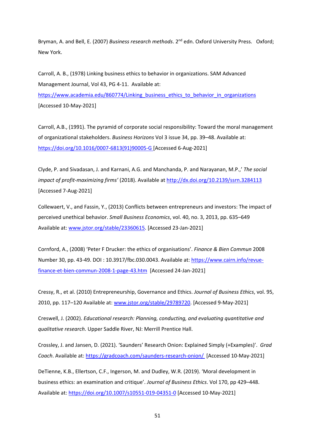Bryman, A. and Bell, E. (2007) *Business research methods*. 2<sup>nd</sup> edn. Oxford University Press. Oxford; New York.

Carroll, A. B., (1978) Linking business ethics to behavior in organizations. SAM Advanced Management Journal, Vol 43, PG 4-11. Available at: https://www.academia.edu/860774/Linking business ethics to behavior in organizations [Accessed 10-May-2021]

Carroll, A.B., (1991). The pyramid of corporate social responsibility: Toward the moral management of organizational stakeholders. *Business Horizons* Vol 3 issue 34, pp. 39–48. Available at: [https://doi.org/10.1016/0007-6813\(91\)90005-G](https://doi.org/10.1016/0007-6813(91)90005-G) [Accessed 6-Aug-2021]

Clyde, P. and Sivadasan, J. and Karnani, A.G. and Manchanda, P. and Narayanan, M.P.,' *The social impact of profit-maximizing firms'* (2018). Available at [http://dx.doi.org/10.2139/ssrn.3284113](https://dx.doi.org/10.2139/ssrn.3284113)  [Accessed 7-Aug-2021]

Collewaert, V., and Fassin, Y., (2013) Conflicts between entrepreneurs and investors: The impact of perceived unethical behavior. *Small Business Economics*, vol. 40, no. 3, 2013, pp. 635–649 Available at[: www.jstor.org/stable/23360615.](http://www.jstor.org/stable/23360615) [Accessed 23-Jan-2021]

Cornford, A., (2008) 'Peter F Drucker: the ethics of organisations'. *Finance & Bien Commun* 2008 Number 30, pp. 43-49. DOI : 10.3917/fbc.030.0043. Available at: [https://www.cairn.info/revue](https://www.cairn.info/revue-finance-et-bien-commun-2008-1-page-43.htm)[finance-et-bien-commun-2008-1-page-43.htm](https://www.cairn.info/revue-finance-et-bien-commun-2008-1-page-43.htm) [Accessed 24-Jan-2021]

Cressy, R., et al. (2010) Entrepreneurship, Governance and Ethics. *Journal of Business Ethics*, vol. 95, 2010, pp. 117–120 Available at: [www.jstor.org/stable/29789720.](http://www.jstor.org/stable/29789720) [Accessed 9-May-2021]

Creswell, J. (2002). *Educational research: Planning, conducting, and evaluating quantitative and qualitative research*. Upper Saddle River, NJ: Merrill Prentice Hall.

Crossley, J. and Jansen, D. (2021). 'Saunders' Research Onion: Explained Simply (+Examples)'. *Grad Coach*. Available at:<https://gradcoach.com/saunders-research-onion/> [Accessed 10-May-2021]

DeTienne, K.B., Ellertson, C.F., Ingerson, M. and Dudley, W.R. (2019). 'Moral development in business ethics: an examination and critique'. *Journal of Business Ethics*. Vol 170, pp 429–448. Available at[: https://doi.org/10.1007/s10551-019-04351-0](https://doi.org/10.1007/s10551-019-04351-0) [Accessed 10-May-2021]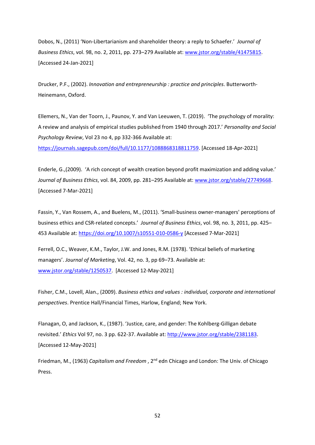Dobos, N., (2011) 'Non-Libertarianism and shareholder theory: a reply to Schaefer.' *Journal of Business Ethics*, vol. 98, no. 2, 2011, pp. 273–279 Available at[: www.jstor.org/stable/41475815.](http://www.jstor.org/stable/41475815) [Accessed 24-Jan-2021]

Drucker, P.F., (2002). *Innovation and entrepreneurship : practice and principles*. Butterworth-Heinemann, Oxford.

Ellemers, N., Van der Toorn, J., Paunov, Y. and Van Leeuwen, T. (2019). 'The psychology of morality: A review and analysis of empirical studies published from 1940 through 2017.' *Personality and Social Psychology Review*, Vol 23 no 4, pp 332-366 Available at:

[https://journals.sagepub.com/doi/full/10.1177/1088868318811759.](https://journals.sagepub.com/doi/full/10.1177/1088868318811759) [Accessed 18-Apr-2021]

Enderle, G.,(2009). 'A rich concept of wealth creation beyond profit maximization and adding value.' *Journal of Business Ethics*, vol. 84, 2009, pp. 281–295 Available at: [www.jstor.org/stable/27749668.](http://www.jstor.org/stable/27749668) [Accessed 7-Mar-2021]

Fassin, Y., Van Rossem, A., and Buelens, M., (2011). 'Small-business owner-managers' perceptions of business ethics and CSR-related concepts.' *Journal of Business Ethics*, vol. 98, no. 3, 2011, pp. 425– 453 Available at:<https://doi.org/10.1007/s10551-010-0586-y> [Accessed 7-Mar-2021]

Ferrell, O.C., Weaver, K.M., Taylor, J.W. and Jones, R.M. (1978). 'Ethical beliefs of marketing managers'. *Journal of Marketing*, Vol. 42, no. 3, pp 69–73. Available at: [www.jstor.org/stable/1250537.](http://www.jstor.org/stable/1250537) [Accessed 12-May-2021]

Fisher, C.M., Lovell, Alan., (2009). *Business ethics and values : individual, corporate and international perspectives*. Prentice Hall/Financial Times, Harlow, England; New York.

Flanagan, O, and Jackson, K., (1987). 'Justice, care, and gender: The Kohlberg-Gilligan debate revisited.' *Ethics* Vol 97, no. 3 pp. 622-37. Available at: [http://www.jstor.org/stable/2381183.](http://www.jstor.org/stable/2381183) [Accessed 12-May-2021]

Friedman, M., (1963) *Capitalism and Freedom* , 2nd edn Chicago and London: The Univ. of Chicago Press.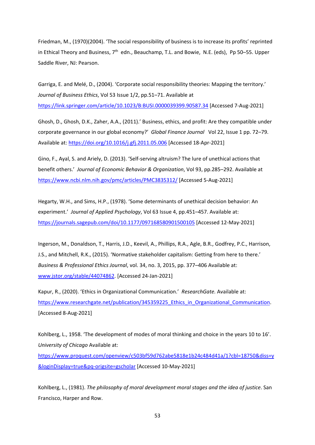Friedman, M., (1970)(2004). 'The social responsibility of business is to increase its profits' reprinted in Ethical Theory and Business,  $7<sup>th</sup>$  edn., Beauchamp, T.L. and Bowie, N.E. (eds), Pp 50–55. Upper Saddle River, NJ: Pearson.

Garriga, E. and Melé, D., (2004). 'Corporate social responsibility theories: Mapping the territory.' *Journal of Business Ethics*, Vol 53 Issue 1/2, pp.51–71. Available at <https://link.springer.com/article/10.1023/B:BUSI.0000039399.90587.34> [Accessed 7-Aug-2021]

Ghosh, D., Ghosh, D.K., Zaher, A.A., (2011).' Business, ethics, and profit: Are they compatible under corporate governance in our global economy?' *Global Finance Journal* Vol 22, Issue 1 pp. 72–79. Available at[: https://doi.org/10.1016/j.gfj.2011.05.006](https://doi.org/10.1016/j.gfj.2011.05.006) [Accessed 18-Apr-2021]

Gino, F., Ayal, S. and Ariely, D. (2013). 'Self-serving altruism? The lure of unethical actions that benefit others.' *Journal of Economic Behavior & Organization*, Vol 93, pp.285–292. Available at <https://www.ncbi.nlm.nih.gov/pmc/articles/PMC3835312/> [Accessed 5-Aug-2021]

Hegarty, W.H., and Sims, H.P., (1978). 'Some determinants of unethical decision behavior: An experiment.' *Journal of Applied Psychology*, Vol 63 Issue 4, pp.451–457. Available at: <https://journals.sagepub.com/doi/10.1177/097168580901500105> [Accessed 12-May-2021]

Ingerson, M., Donaldson, T., Harris, J.D., Keevil, A., Phillips, R.A., Agle, B.R., Godfrey, P.C., Harrison, J.S., and Mitchell, R.K., (2015). 'Normative stakeholder capitalism: Getting from here to there.' *Business & Professional Ethics Journal*, vol. 34, no. 3, 2015, pp. 377–406 Available at: [www.jstor.org/stable/44074862.](http://www.jstor.org/stable/44074862) [Accessed 24-Jan-2021]

Kapur, R., (2020). 'Ethics in Organizational Communication.' *ResearchGate.* Available at: https://www.researchgate.net/publication/345359225 Ethics in Organizational Communication. [Accessed 8-Aug-2021]

Kohlberg, L., 1958. 'The development of modes of moral thinking and choice in the years 10 to 16'. *University of Chicago* Available at:

[https://www.proquest.com/openview/c503bf59d762abe5818e1b24c484d41a/1?cbl=18750&diss=y](https://www.proquest.com/openview/c503bf59d762abe5818e1b24c484d41a/1?cbl=18750&diss=y&loginDisplay=true&pq-origsite=gscholar) [&loginDisplay=true&pq-origsite=gscholar](https://www.proquest.com/openview/c503bf59d762abe5818e1b24c484d41a/1?cbl=18750&diss=y&loginDisplay=true&pq-origsite=gscholar) [Accessed 10-May-2021]

Kohlberg, L., (1981). *The philosophy of moral development moral stages and the idea of justice*. San Francisco, Harper and Row.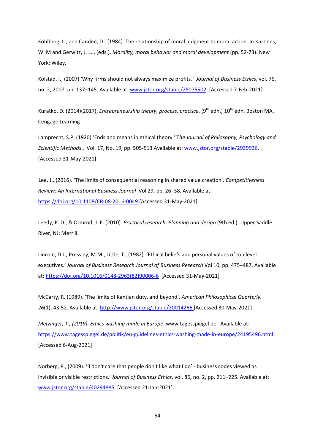Kohlberg, L., and Candee, D., (1984). The relationship of moral judgment to moral action. In Kurtines, W. M and Gerwitz, J. L.., (eds.), *Morality, moral behavior and moral development* (pp. 52-73). New York: Wiley.

Kolstad, I., (2007) 'Why firms should not always maximize profits*.' Journal of Business Ethics*, vol. 76, no. 2, 2007, pp. 137-145. Available at: [www.jstor.org/stable/25075502.](http://www.jstor.org/stable/25075502) [Accessed 7-Feb-2021]

Kuratko, D. (2014)(2017), *Entrepreneurship theory, process, practice*. (9<sup>th</sup> edn.) 10<sup>th</sup> edn. Boston MA, Cengage Learning

Lamprecht, S.P. (1920) 'Ends and means in ethical theory ' T*he Journal of Philosophy, Psychology and Scientific Methods* , Vol. 17, No. 19, pp. 505-513 Available at: [www.jstor.org/stable/2939936.](http://www.jstor.org/stable/2939936) [Accessed 31-May-2021]

 Lee, J., (2016). 'The limits of consequential reasoning in shared value creation'. *Competitiveness Review: An International Business Journal* Vol 29, pp. 26–38. Available at: <https://doi.org/10.1108/CR-08-2016-0049> [Accessed 31-May-2021]

Leedy, P. D., & Ormrod, J. E. (2010). *Practical research: Planning and design* (9th ed.). Upper Saddle River, NJ: Merrill.

Lincoln, D.J., Pressley, M.M., Little, T., (1982). 'Ethical beliefs and personal values of top level executives.' *Journal of Business Research Journal of Business Research* Vol 10, pp. 475–487. Available at: [https://doi.org/10.1016/0148-2963\(82\)90006-6](https://doi.org/10.1016/0148-2963(82)90006-6) [Accessed 31-May-2021]

McCarty, R. (1989). 'The limits of Kantian duty, and beyond'. *American Philosophical Quarterly, 26*(1), 43-52. Available at:<http://www.jstor.org/stable/20014266> [Accessed 30-May-2021]

*Metzinger, T., (2019). Ethics washing made in Europe*. www.tagesspiegel.de Available at: [https://www.tagesspiegel.de/politik/eu-guidelines-ethics-washing-made-in-europe/24195496.html.](https://www.tagesspiegel.de/politik/eu-guidelines-ethics-washing-made-in-europe/24195496.html) [Accessed 6-Aug-2021]

Norberg, P., (2009). ''I don't care that people don't like what I do' - business codes viewed as invisible or visible restrictions.' *Journal of Business Ethics*, vol. 86, no. 2, pp. 211–225. Available at: [www.jstor.org/stable/40294885.](http://www.jstor.org/stable/40294885) [Accessed 21-Jan-2021]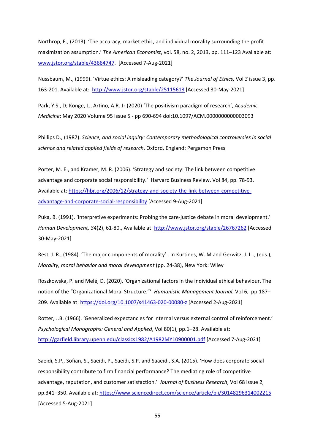Northrop, E., (2013). 'The accuracy, market ethic, and individual morality surrounding the profit maximization assumption.' *The American Economist*, vol. 58, no. 2, 2013, pp. 111–123 Available at: [www.jstor.org/stable/43664747.](http://www.jstor.org/stable/43664747) [Accessed 7-Aug-2021]

Nussbaum, M., (1999). 'Virtue ethics: A misleading category?' *The Journal of Ethics,* Vol *3* issue 3, pp. 163-201. Available at: <http://www.jstor.org/stable/25115613> [Accessed 30-May-2021]

Park, Y.S., D; Konge, L., Artino, A.R. Jr (2020) 'The positivism paradigm of research', *Academic Medicine*: May 2020 Volume 95 Issue 5 - pp 690-694 doi:10.1097/ACM.0000000000003093

Phillips D., (1987). *Science, and social inquiry: Contemporary methodological controversies in social science and related applied fields of research*. Oxford, England: Pergamon Press

Porter, M. E., and Kramer, M. R. (2006). 'Strategy and society: The link between competitive advantage and corporate social responsibility.' Harvard Business Review. Vol 84, pp. 78-93. Available at[: https://hbr.org/2006/12/strategy-and-society-the-link-between-competitive](https://hbr.org/2006/12/strategy-and-society-the-link-between-competitive-advantage-and-corporate-social-responsibility)[advantage-and-corporate-social-responsibility](https://hbr.org/2006/12/strategy-and-society-the-link-between-competitive-advantage-and-corporate-social-responsibility) [Accessed 9-Aug-2021]

Puka, B. (1991). 'Interpretive experiments: Probing the care-justice debate in moral development.' *Human Development, 34*(2), 61-80., Available at:<http://www.jstor.org/stable/26767262> [Accessed 30-May-2021]

Rest, J. R., (1984). 'The major components of morality' . In Kurtines, W. M and Gerwitz, J. L.., (eds.), *Morality, moral behavior and moral development* (pp. 24-38), New York: Wiley

Roszkowska, P. and Melé, D. (2020). 'Organizational factors in the individual ethical behaviour. The notion of the "Organizational Moral Structure."' *Humanistic Management Journal.* Vol 6, pp.187– 209. Available at[: https://doi.org/10.1007/s41463-020-00080-z](https://doi.org/10.1007/s41463-020-00080-z) [Accessed 2-Aug-2021]

Rotter, J.B. (1966). 'Generalized expectancies for internal versus external control of reinforcement.' *Psychological Monographs: General and Applied*, Vol 80(1), pp.1–28. Available at: <http://garfield.library.upenn.edu/classics1982/A1982MY10900001.pdf> [Accessed 7-Aug-2021]

Saeidi, S.P., Sofian, S., Saeidi, P., Saeidi, S.P. and Saaeidi, S.A. (2015). 'How does corporate social responsibility contribute to firm financial performance? The mediating role of competitive advantage, reputation, and customer satisfaction.' *Journal of Business Research*, Vol 68 issue 2, pp.341–350. Available at:<https://www.sciencedirect.com/science/article/pii/S0148296314002215> [Accessed 5-Aug-2021]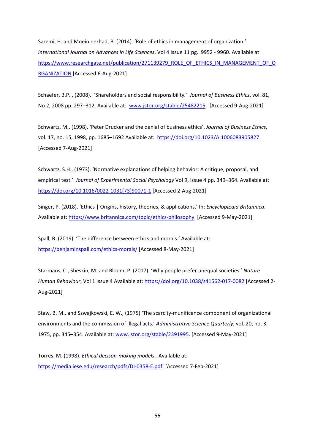Saremi, H. and Moein nezhad, B. (2014). 'Role of ethics in management of organization.' *International Journal on Advances in Life Sciences*. Vol 4 Issue 11 pg. 9952 - 9960. Available at [https://www.researchgate.net/publication/271139279\\_ROLE\\_OF\\_ETHICS\\_IN\\_MANAGEMENT\\_OF\\_O](https://www.researchgate.net/publication/271139279_ROLE_OF_ETHICS_IN_MANAGEMENT_OF_ORGANIZATION) [RGANIZATION](https://www.researchgate.net/publication/271139279_ROLE_OF_ETHICS_IN_MANAGEMENT_OF_ORGANIZATION) [Accessed 6-Aug-2021]

Schaefer, B.P. , (2008). 'Shareholders and social responsibility*.' Journal of Business Ethics*, vol. 81, No 2, 2008 pp. 297–312. Available at: [www.jstor.org/stable/25482215.](http://www.jstor.org/stable/25482215) [Accessed 9-Aug-2021]

Schwartz, M., (1998). 'Peter Drucker and the denial of business ethics'. *Journal of Business Ethics*, vol. 17, no. 15, 1998, pp. 1685–1692 Available at: <https://doi.org/10.1023/A:1006083905827> [Accessed 7-Aug-2021]

Schwartz, S.H., (1973). 'Normative explanations of helping behavior: A critique, proposal, and empirical test.' *Journal of Experimental Social Psychology* Vol 9, Issue 4 pp. 349–364. Available at: [https://doi.org/10.1016/0022-1031\(73\)90071-1](https://doi.org/10.1016/0022-1031(73)90071-1) [Accessed 2-Aug-2021]

Singer, P. (2018). 'Ethics | Origins, history, theories, & applications.' In: *Encyclopædia Britannica*. Available at[: https://www.britannica.com/topic/ethics-philosophy.](https://www.britannica.com/topic/ethics-philosophy) [Accessed 9-May-2021]

Spall, B. (2019). 'The difference between ethics and morals.' Available at: <https://benjaminspall.com/ethics-morals/> [Accessed 8-May-2021]

Starmans, C., Sheskin, M. and Bloom, P. (2017). 'Why people prefer unequal societies.' *Nature Human Behaviour*, Vol 1 Issue 4 Available at:<https://doi.org/10.1038/s41562-017-0082> [Accessed 2- Aug-2021]

Staw, B. M., and Szwajkowski, E. W., (1975) 'The scarcity-munificence component of organizational environments and the commission of illegal acts.' *Administrative Science Quarterly*, vol. 20, no. 3, 1975, pp. 345–354. Available at: [www.jstor.org/stable/2391995.](http://www.jstor.org/stable/2391995) [Accessed 9-May-2021]

Torres, M. (1998). *Ethical decison-making models*. Available at: [https://media.iese.edu/research/pdfs/DI-0358-E.pdf.](https://media.iese.edu/research/pdfs/DI-0358-E.pdf) [Accessed 7-Feb-2021]